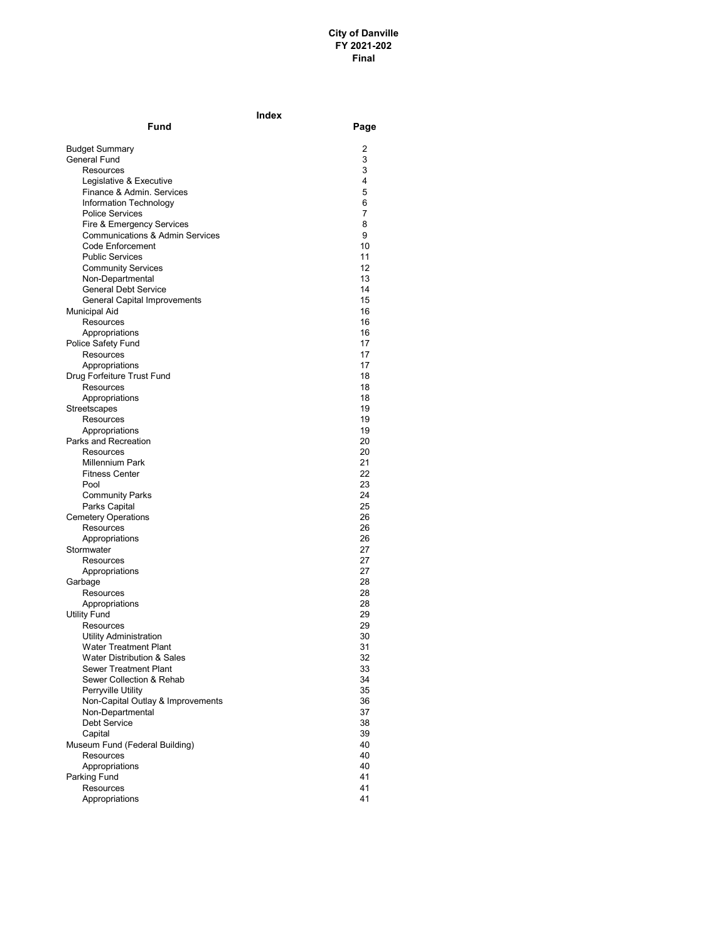|                                                     | Index    |
|-----------------------------------------------------|----------|
| Fund                                                | Page     |
| <b>Budget Summary</b>                               | 2        |
| <b>General Fund</b>                                 | 3        |
| Resources                                           | 3        |
| Legislative & Executive                             | 4        |
| Finance & Admin. Services                           | 5        |
| Information Technology                              | 6        |
| <b>Police Services</b><br>Fire & Emergency Services | 7<br>8   |
| <b>Communications &amp; Admin Services</b>          | 9        |
| Code Enforcement                                    | 10       |
| <b>Public Services</b>                              | 11       |
| <b>Community Services</b>                           | 12       |
| Non-Departmental                                    | 13       |
| <b>General Debt Service</b>                         | 14       |
| General Capital Improvements                        | 15       |
| Municipal Aid                                       | 16       |
| Resources                                           | 16       |
| Appropriations                                      | 16<br>17 |
| Police Safety Fund<br>Resources                     | 17       |
| Appropriations                                      | 17       |
| Drug Forfeiture Trust Fund                          | 18       |
| Resources                                           | 18       |
| Appropriations                                      | 18       |
| Streetscapes                                        | 19       |
| Resources                                           | 19       |
| Appropriations                                      | 19       |
| Parks and Recreation                                | 20       |
| Resources                                           | 20       |
| Millennium Park                                     | 21       |
| <b>Fitness Center</b><br>Pool                       | 22<br>23 |
| <b>Community Parks</b>                              | 24       |
| Parks Capital                                       | 25       |
| <b>Cemetery Operations</b>                          | 26       |
| Resources                                           | 26       |
| Appropriations                                      | 26       |
| Stormwater                                          | 27       |
| Resources                                           | 27       |
| Appropriations                                      | 27       |
| Garbage                                             | 28       |
| Resources                                           | 28       |
| Appropriations                                      | 28<br>29 |
| <b>Utility Fund</b><br>Resources                    | 29       |
| Utility Administration                              | 30       |
| <b>Water Treatment Plant</b>                        | 31       |
| <b>Water Distribution &amp; Sales</b>               | 32       |
| Sewer Treatment Plant                               | 33       |
| Sewer Collection & Rehab                            | 34       |
| Perryville Utility                                  | 35       |
| Non-Capital Outlay & Improvements                   | 36       |
| Non-Departmental                                    | 37       |
| Debt Service                                        | 38       |
| Capital                                             | 39       |
| Museum Fund (Federal Building)<br><b>Resources</b>  | 40<br>40 |
| Appropriations                                      | 40       |
| Parking Fund                                        | 41       |
| Resources                                           | 41       |
| Appropriations                                      | 41       |
|                                                     |          |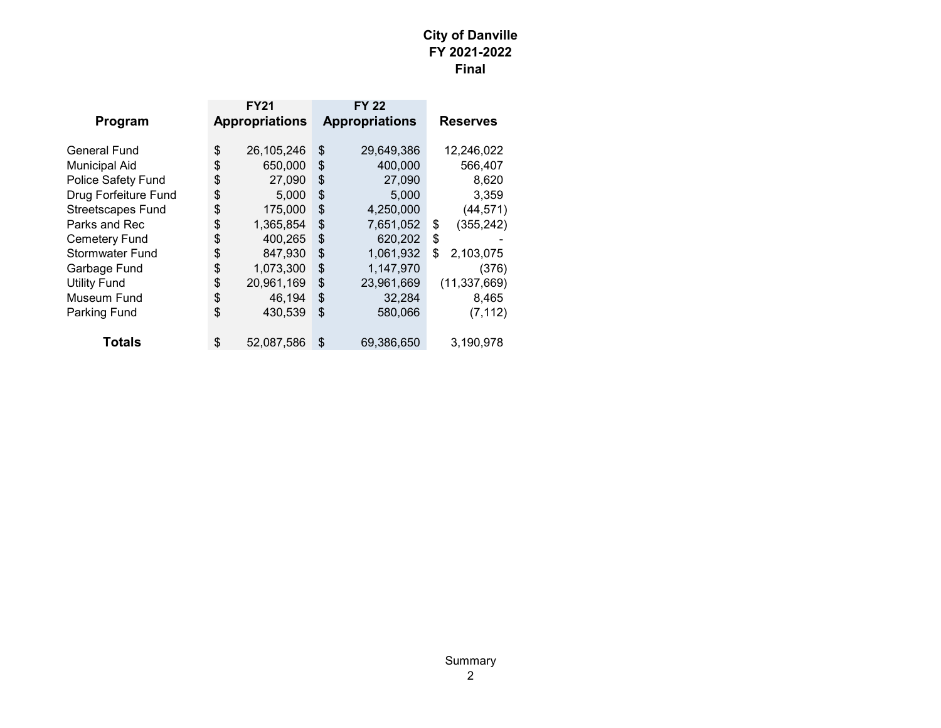| <b>FY21</b>      |                       | <b>FY 22</b> |                       |
|------------------|-----------------------|--------------|-----------------------|
|                  |                       |              | <b>Reserves</b>       |
| \$<br>26,105,246 | \$                    | 29,649,386   | 12,246,022            |
| \$<br>650,000    | \$                    | 400,000      | 566,407               |
| \$<br>27,090     | \$                    | 27,090       | 8,620                 |
| \$<br>5,000      | \$                    | 5,000        | 3,359                 |
| \$<br>175,000    | \$                    | 4,250,000    | (44, 571)             |
| \$<br>1,365,854  | \$                    | 7,651,052    | \$<br>(355, 242)      |
| \$<br>400,265    | \$                    | 620,202      | \$                    |
| \$<br>847,930    | \$                    | 1,061,932    | \$<br>2,103,075       |
| \$<br>1,073,300  | \$                    | 1,147,970    | (376)                 |
| \$<br>20,961,169 | \$                    | 23,961,669   | (11, 337, 669)        |
| \$<br>46.194     | \$                    | 32,284       | 8.465                 |
| \$<br>430,539    | \$                    | 580,066      | (7, 112)              |
| \$<br>52,087,586 | \$                    | 69,386,650   | 3,190,978             |
|                  | <b>Appropriations</b> |              | <b>Appropriations</b> |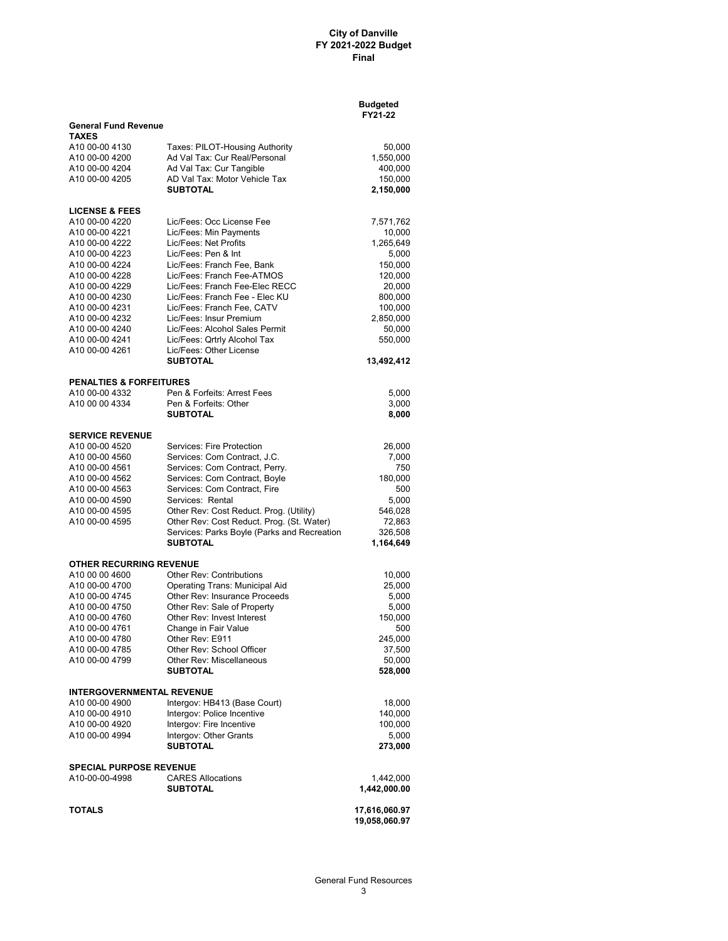|                                                  |                                                                 | <b>Budgeted</b><br>FY21-22 |
|--------------------------------------------------|-----------------------------------------------------------------|----------------------------|
| <b>General Fund Revenue</b><br><b>TAXES</b>      |                                                                 |                            |
| A10 00-00 4130                                   | Taxes: PILOT-Housing Authority                                  | 50,000                     |
| A10 00-00 4200                                   | Ad Val Tax: Cur Real/Personal                                   | 1,550,000                  |
| A10 00-00 4204                                   | Ad Val Tax: Cur Tangible                                        | 400,000                    |
| A10 00-00 4205                                   | AD Val Tax: Motor Vehicle Tax                                   | 150,000                    |
|                                                  | <b>SUBTOTAL</b>                                                 | 2,150,000                  |
| <b>LICENSE &amp; FEES</b>                        |                                                                 |                            |
| A10 00-00 4220                                   | Lic/Fees: Occ License Fee                                       | 7,571,762                  |
| A10 00-00 4221                                   | Lic/Fees: Min Payments                                          | 10,000                     |
| A10 00-00 4222<br>A10 00-00 4223                 | Lic/Fees: Net Profits<br>Lic/Fees: Pen & Int                    | 1,265,649                  |
| A10 00-00 4224                                   | Lic/Fees: Franch Fee, Bank                                      | 5,000<br>150,000           |
| A10 00-00 4228                                   | Lic/Fees: Franch Fee-ATMOS                                      | 120,000                    |
| A10 00-00 4229                                   | Lic/Fees: Franch Fee-Elec RECC                                  | 20,000                     |
| A10 00-00 4230                                   | Lic/Fees: Franch Fee - Elec KU                                  | 800,000                    |
| A10 00-00 4231                                   | Lic/Fees: Franch Fee, CATV                                      | 100,000                    |
| A10 00-00 4232                                   | Lic/Fees: Insur Premium                                         | 2,850,000                  |
| A10 00-00 4240                                   | Lic/Fees: Alcohol Sales Permit                                  | 50,000                     |
| A10 00-00 4241                                   | Lic/Fees: Qrtrly Alcohol Tax                                    | 550,000                    |
| A10 00-00 4261                                   | Lic/Fees: Other License<br><b>SUBTOTAL</b>                      | 13,492,412                 |
|                                                  |                                                                 |                            |
| <b>PENALTIES &amp; FORFEITURES</b>               |                                                                 |                            |
| A10 00-00 4332                                   | Pen & Forfeits: Arrest Fees<br>Pen & Forfeits: Other            | 5,000                      |
| A10 00 00 4334                                   | <b>SUBTOTAL</b>                                                 | 3,000<br>8,000             |
|                                                  |                                                                 |                            |
| <b>SERVICE REVENUE</b>                           |                                                                 |                            |
| A10 00-00 4520                                   | Services: Fire Protection                                       | 26,000                     |
| A10 00-00 4560                                   | Services: Com Contract, J.C.                                    | 7,000                      |
| A10 00-00 4561<br>A10 00-00 4562                 | Services: Com Contract, Perry.<br>Services: Com Contract, Boyle | 750<br>180,000             |
| A10 00-00 4563                                   | Services: Com Contract, Fire                                    | 500                        |
| A10 00-00 4590                                   | Services: Rental                                                | 5,000                      |
| A10 00-00 4595                                   | Other Rev: Cost Reduct. Prog. (Utility)                         | 546,028                    |
| A10 00-00 4595                                   | Other Rev: Cost Reduct. Prog. (St. Water)                       | 72,863                     |
|                                                  | Services: Parks Boyle (Parks and Recreation                     | 326,508                    |
|                                                  | SUBTOTAL                                                        | 1,164,649                  |
| <b>OTHER RECURRING REVENUE</b>                   |                                                                 |                            |
| A10 00 00 4600                                   | <b>Other Rev: Contributions</b>                                 | 10,000                     |
| A10 00-00 4700                                   | Operating Trans: Municipal Aid                                  | 25,000                     |
| A10 00-00 4745                                   | Other Rev: Insurance Proceeds                                   | 5,000                      |
| A10 00-00 4750<br>A10 00-00 4760                 | Other Rev: Sale of Property<br>Other Rev: Invest Interest       | 5,000<br>150,000           |
| A10 00-00 4761                                   | Change in Fair Value                                            | 500                        |
| A10 00-00 4780                                   | Other Rev: E911                                                 | 245,000                    |
| A10 00-00 4785                                   | Other Rev: School Officer                                       | 37,500                     |
| A10 00-00 4799                                   | Other Rev: Miscellaneous                                        | 50,000                     |
|                                                  | <b>SUBTOTAL</b>                                                 | 528,000                    |
| <b>INTERGOVERNMENTAL REVENUE</b>                 |                                                                 |                            |
| A10 00-00 4900                                   | Intergov: HB413 (Base Court)                                    | 18,000                     |
| A10 00-00 4910                                   | Intergov: Police Incentive                                      | 140,000                    |
| A10 00-00 4920                                   | Intergov: Fire Incentive                                        | 100,000                    |
| A10 00-00 4994                                   | Intergov: Other Grants<br><b>SUBTOTAL</b>                       | 5,000<br>273,000           |
|                                                  |                                                                 |                            |
| <b>SPECIAL PURPOSE REVENUE</b><br>A10-00-00-4998 | <b>CARES Allocations</b>                                        |                            |
|                                                  | <b>SUBTOTAL</b>                                                 | 1,442,000<br>1,442,000.00  |
| <b>TOTALS</b>                                    |                                                                 | 17,616,060.97              |
|                                                  |                                                                 | 19,058,060.97              |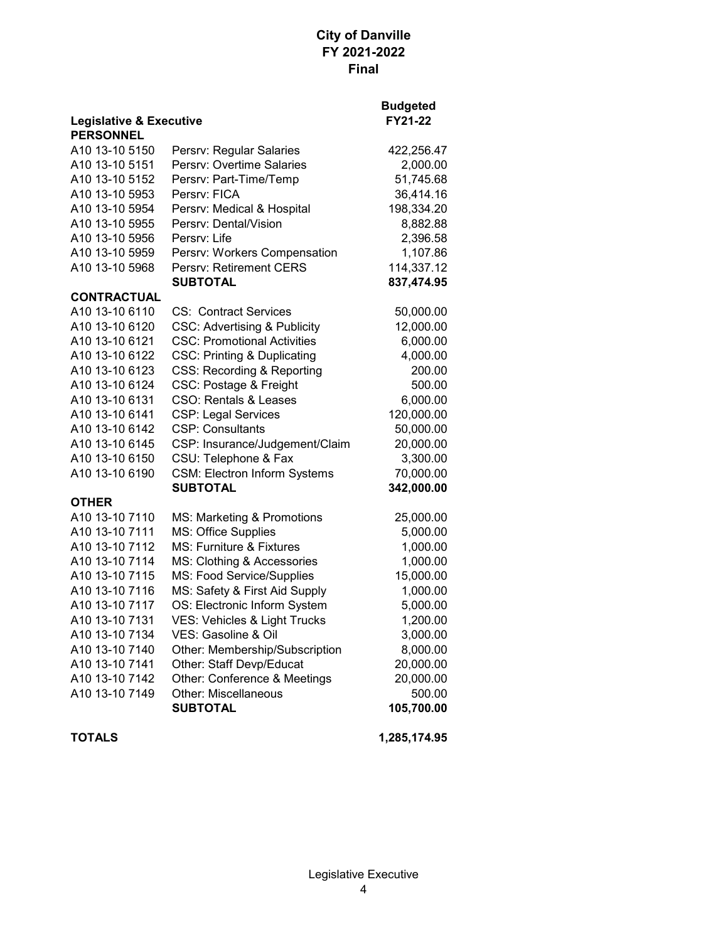|                                                        |                                         | <b>Budgeted</b> |
|--------------------------------------------------------|-----------------------------------------|-----------------|
| <b>Legislative &amp; Executive</b><br><b>PERSONNEL</b> | FY21-22                                 |                 |
| A10 13-10 5150                                         | Persrv: Regular Salaries                | 422,256.47      |
| A10 13-10 5151                                         | Persrv: Overtime Salaries               | 2,000.00        |
| A10 13-10 5152                                         | Persrv: Part-Time/Temp                  | 51,745.68       |
| A10 13-10 5953                                         | Persrv: FICA                            | 36,414.16       |
| A10 13-10 5954                                         | Persrv: Medical & Hospital              | 198,334.20      |
| A10 13-10 5955                                         | Persry: Dental/Vision                   | 8,882.88        |
| A10 13-10 5956                                         | Persrv: Life                            | 2,396.58        |
| A10 13-10 5959                                         | Persrv: Workers Compensation            | 1,107.86        |
| A10 13-10 5968                                         | Persrv: Retirement CERS                 | 114,337.12      |
|                                                        | <b>SUBTOTAL</b>                         | 837,474.95      |
| <b>CONTRACTUAL</b>                                     |                                         |                 |
| A10 13-10 6110                                         | <b>CS: Contract Services</b>            | 50,000.00       |
| A10 13-10 6120                                         | <b>CSC: Advertising &amp; Publicity</b> | 12,000.00       |
| A10 13-10 6121                                         | <b>CSC: Promotional Activities</b>      | 6,000.00        |
| A10 13-10 6122                                         | <b>CSC: Printing &amp; Duplicating</b>  | 4,000.00        |
| A10 13-10 6123                                         | CSS: Recording & Reporting              | 200.00          |
| A10 13-10 6124                                         | CSC: Postage & Freight                  | 500.00          |
| A10 13-10 6131                                         | <b>CSO: Rentals &amp; Leases</b>        | 6,000.00        |
| A10 13-10 6141                                         | <b>CSP: Legal Services</b>              | 120,000.00      |
| A10 13-10 6142                                         | <b>CSP: Consultants</b>                 | 50,000.00       |
| A10 13-10 6145                                         | CSP: Insurance/Judgement/Claim          | 20,000.00       |
| A <sub>10</sub> 13-10 6150                             | CSU: Telephone & Fax                    | 3,300.00        |
| A10 13-10 6190                                         | <b>CSM: Electron Inform Systems</b>     | 70,000.00       |
|                                                        | <b>SUBTOTAL</b>                         | 342,000.00      |
| <b>OTHER</b>                                           |                                         |                 |
| A10 13-10 7110                                         | MS: Marketing & Promotions              | 25,000.00       |
| A10 13-10 7111                                         | MS: Office Supplies                     | 5,000.00        |
| A10 13-10 7112                                         | MS: Furniture & Fixtures                | 1,000.00        |
| A10 13-10 7114                                         | MS: Clothing & Accessories              | 1,000.00        |
| A10 13-10 7115                                         | MS: Food Service/Supplies               | 15,000.00       |
| A10 13-10 7116                                         | MS: Safety & First Aid Supply           | 1,000.00        |
| A10 13-10 7117                                         | OS: Electronic Inform System            | 5,000.00        |
| A10 13-10 7131                                         | VES: Vehicles & Light Trucks            | 1,200.00        |
| A10 13-10 7134                                         | VES: Gasoline & Oil                     | 3,000.00        |
| A10 13-10 7140                                         | Other: Membership/Subscription          | 8,000.00        |
| A10 13-10 7141                                         | Other: Staff Devp/Educat                | 20,000.00       |
| A10 13-10 7142                                         | Other: Conference & Meetings            | 20,000.00       |
| A10 13-10 7149                                         | Other: Miscellaneous                    | 500.00          |
|                                                        | <b>SUBTOTAL</b>                         | 105,700.00      |

**TOTALS 1,285,174.95**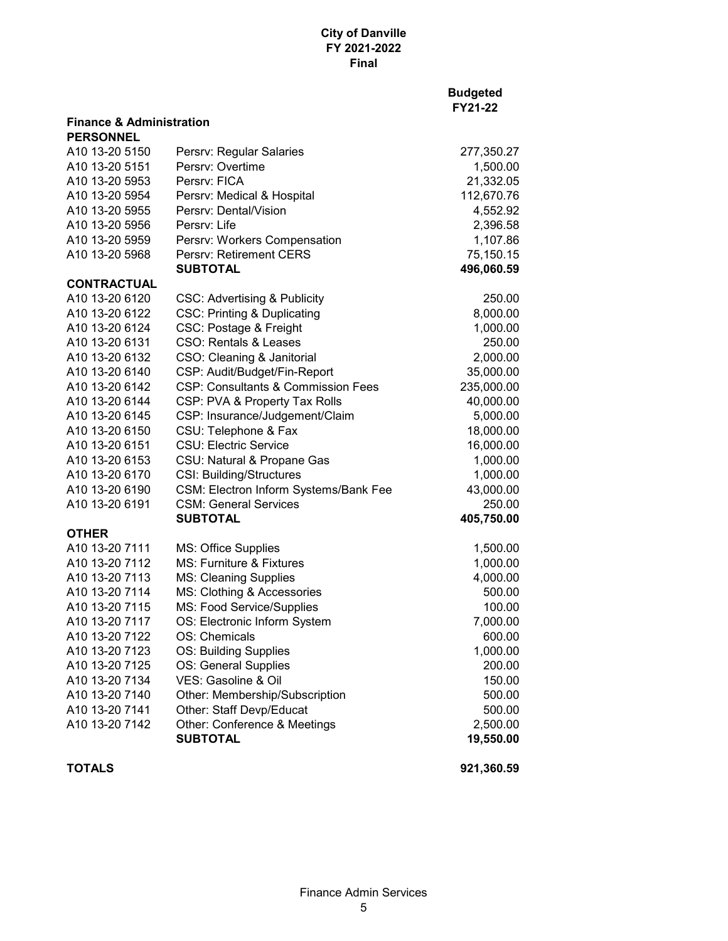| <b>Budgeted</b> |
|-----------------|
| <b>FY21-22</b>  |

| <b>Finance &amp; Administration</b><br><b>PERSONNEL</b> |                                               |            |
|---------------------------------------------------------|-----------------------------------------------|------------|
| A10 13-20 5150                                          | Persrv: Regular Salaries                      | 277,350.27 |
| A10 13-20 5151                                          | Persrv: Overtime                              | 1,500.00   |
| A10 13-20 5953                                          | Persry: FICA                                  | 21,332.05  |
| A10 13-20 5954                                          | Persrv: Medical & Hospital                    | 112,670.76 |
| A10 13-20 5955                                          | Persrv: Dental/Vision                         | 4,552.92   |
| A10 13-20 5956                                          | Persry: Life                                  | 2,396.58   |
| A10 13-20 5959                                          | Persrv: Workers Compensation                  | 1,107.86   |
| A10 13-20 5968                                          | <b>Persry: Retirement CERS</b>                | 75,150.15  |
|                                                         | <b>SUBTOTAL</b>                               | 496,060.59 |
| <b>CONTRACTUAL</b>                                      |                                               |            |
| A10 13-20 6120                                          | <b>CSC: Advertising &amp; Publicity</b>       | 250.00     |
| A10 13-20 6122                                          | <b>CSC: Printing &amp; Duplicating</b>        | 8,000.00   |
| A10 13-20 6124                                          | CSC: Postage & Freight                        | 1,000.00   |
| A10 13-20 6131                                          | CSO: Rentals & Leases                         | 250.00     |
| A10 13-20 6132                                          | CSO: Cleaning & Janitorial                    | 2,000.00   |
| A10 13-20 6140                                          | CSP: Audit/Budget/Fin-Report                  | 35,000.00  |
| A10 13-20 6142                                          | <b>CSP: Consultants &amp; Commission Fees</b> | 235,000.00 |
| A10 13-20 6144                                          | CSP: PVA & Property Tax Rolls                 | 40,000.00  |
| A10 13-20 6145                                          | CSP: Insurance/Judgement/Claim                | 5,000.00   |
| A10 13-20 6150                                          | CSU: Telephone & Fax                          | 18,000.00  |
| A10 13-20 6151                                          | <b>CSU: Electric Service</b>                  | 16,000.00  |
| A10 13-20 6153                                          | CSU: Natural & Propane Gas                    | 1,000.00   |
| A10 13-20 6170                                          | CSI: Building/Structures                      | 1,000.00   |
| A10 13-20 6190                                          | CSM: Electron Inform Systems/Bank Fee         | 43,000.00  |
| A10 13-20 6191                                          | <b>CSM: General Services</b>                  | 250.00     |
|                                                         | <b>SUBTOTAL</b>                               | 405,750.00 |
| <b>OTHER</b>                                            |                                               |            |
| A10 13-20 7111                                          | MS: Office Supplies                           | 1,500.00   |
| A10 13-20 7112                                          | MS: Furniture & Fixtures                      | 1,000.00   |
| A10 13-20 7113                                          | <b>MS: Cleaning Supplies</b>                  | 4,000.00   |
| A10 13-20 7114                                          | MS: Clothing & Accessories                    | 500.00     |
| A10 13-20 7115                                          | MS: Food Service/Supplies                     | 100.00     |
| A10 13-20 7117                                          | OS: Electronic Inform System                  | 7,000.00   |
| A10 13-20 7122                                          | OS: Chemicals                                 | 600.00     |
| A10 13-20 7123                                          | OS: Building Supplies                         | 1,000.00   |
| A10 13-20 7125                                          | OS: General Supplies                          | 200.00     |
| A10 13-20 7134                                          | VES: Gasoline & Oil                           | 150.00     |
| A10 13-20 7140                                          | Other: Membership/Subscription                | 500.00     |
| A10 13-20 7141                                          | Other: Staff Devp/Educat                      | 500.00     |
| A10 13-20 7142                                          | Other: Conference & Meetings                  | 2,500.00   |
|                                                         | <b>SUBTOTAL</b>                               | 19,550.00  |
|                                                         |                                               |            |

**TOTALS 921,360.59**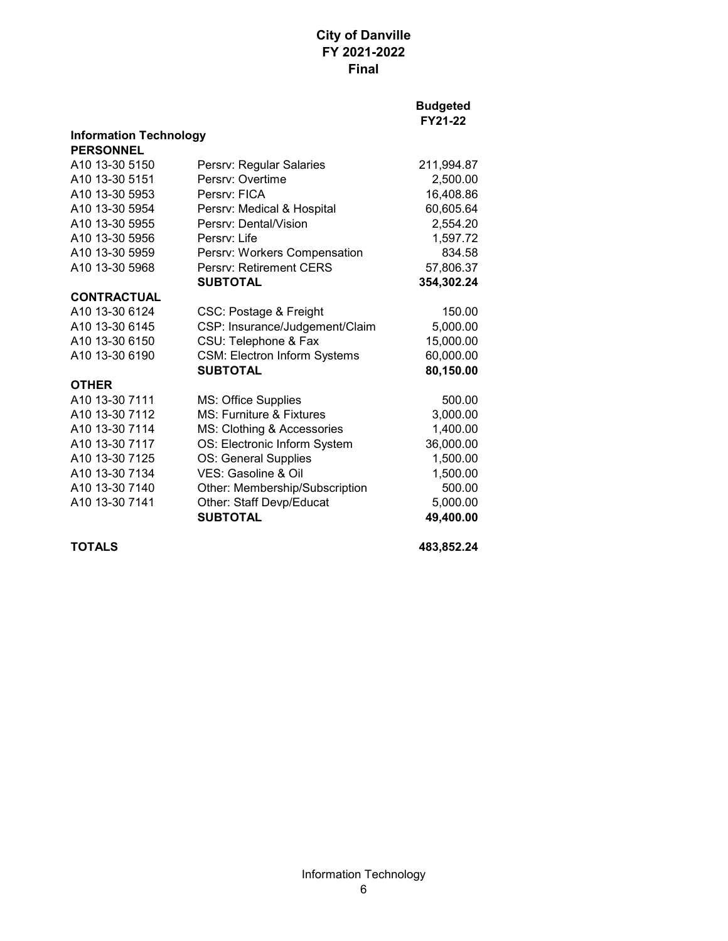#### **Budgeted FY21-22**

| <b>Information Technology</b> |                                     |            |  |  |
|-------------------------------|-------------------------------------|------------|--|--|
| <b>PERSONNEL</b>              |                                     |            |  |  |
| A <sub>10</sub> 13-30 5150    | Persrv: Regular Salaries            | 211,994.87 |  |  |
| A10 13-30 5151                | Persry: Overtime                    | 2,500.00   |  |  |
| A10 13-30 5953                | Persry: FICA                        | 16,408.86  |  |  |
| A10 13-30 5954                | Persrv: Medical & Hospital          | 60,605.64  |  |  |
| A10 13-30 5955                | Persry: Dental/Vision               | 2,554.20   |  |  |
| A10 13-30 5956                | Persry: Life                        | 1,597.72   |  |  |
| A10 13-30 5959                | Persrv: Workers Compensation        | 834.58     |  |  |
| A <sub>10</sub> 13-30 5968    | <b>Persry: Retirement CERS</b>      | 57,806.37  |  |  |
|                               | <b>SUBTOTAL</b>                     | 354,302.24 |  |  |
| <b>CONTRACTUAL</b>            |                                     |            |  |  |
| A10 13-30 6124                | CSC: Postage & Freight              | 150.00     |  |  |
| A10 13-30 6145                | CSP: Insurance/Judgement/Claim      | 5,000.00   |  |  |
| A10 13-30 6150                | CSU: Telephone & Fax                | 15,000.00  |  |  |
| A <sub>10</sub> 13-30 6190    | <b>CSM: Electron Inform Systems</b> | 60,000.00  |  |  |
|                               | <b>SUBTOTAL</b>                     | 80,150.00  |  |  |
| <b>OTHER</b>                  |                                     |            |  |  |
| A <sub>10</sub> 13-30 7111    | MS: Office Supplies                 | 500.00     |  |  |
| A10 13-30 7112                | <b>MS: Furniture &amp; Fixtures</b> | 3,000.00   |  |  |
| A10 13-30 7114                | MS: Clothing & Accessories          | 1,400.00   |  |  |
| A10 13-30 7117                | OS: Electronic Inform System        | 36,000.00  |  |  |
| A10 13-30 7125                | OS: General Supplies                | 1,500.00   |  |  |
| A10 13-30 7134                | VES: Gasoline & Oil                 | 1,500.00   |  |  |
| A10 13-30 7140                | Other: Membership/Subscription      | 500.00     |  |  |
| A10 13-30 7141                | Other: Staff Devp/Educat            | 5,000.00   |  |  |
|                               | <b>SUBTOTAL</b>                     | 49,400.00  |  |  |
|                               |                                     |            |  |  |

**TOTALS 483,852.24**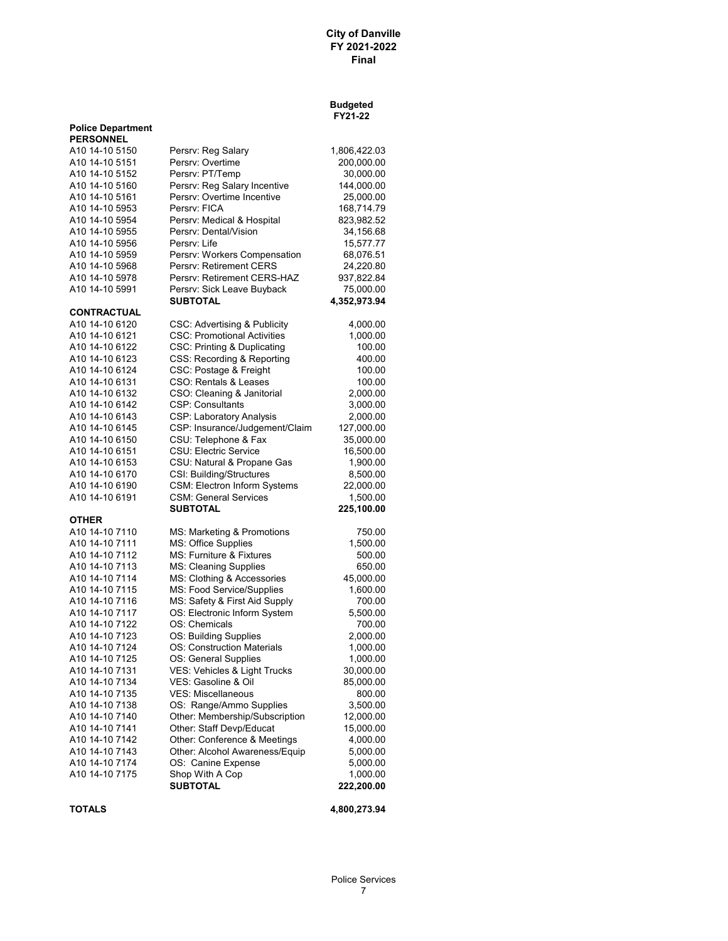#### **Budgeted FY21-22**

|                                              |                                                          | F 14 1 24          |
|----------------------------------------------|----------------------------------------------------------|--------------------|
| <b>Police Department</b><br><b>PERSONNEL</b> |                                                          |                    |
| A10 14-10 5150                               | Persrv: Reg Salary                                       | 1,806,422.03       |
| A10 14-10 5151                               | Persrv: Overtime                                         | 200,000.00         |
| A10 14-10 5152                               | Persrv: PT/Temp                                          | 30,000.00          |
| A10 14-10 5160                               | Persrv: Reg Salary Incentive                             | 144,000.00         |
| A10 14-10 5161                               | Persrv: Overtime Incentive                               | 25,000.00          |
| A10 14-10 5953                               | Persry: FICA                                             | 168,714.79         |
| A10 14-10 5954                               | Persrv: Medical & Hospital                               | 823,982.52         |
| A10 14-10 5955                               | Persrv: Dental/Vision                                    | 34,156.68          |
| A10 14-10 5956                               | Persry: Life                                             | 15,577.77          |
| A10 14-10 5959                               | Persrv: Workers Compensation                             | 68,076.51          |
| A10 14-10 5968                               | Persrv: Retirement CERS                                  | 24,220.80          |
| A10 14-10 5978                               | Persry: Retirement CERS-HAZ                              | 937,822.84         |
| A10 14-10 5991                               | Persrv: Sick Leave Buyback                               | 75,000.00          |
|                                              | SUBTOTAL                                                 | 4,352,973.94       |
| <b>CONTRACTUAL</b>                           |                                                          |                    |
| A10 14-10 6120                               | CSC: Advertising & Publicity                             | 4,000.00           |
| A10 14-10 6121                               | <b>CSC: Promotional Activities</b>                       | 1,000.00           |
| A10 14-10 6122                               | CSC: Printing & Duplicating                              | 100.00             |
| A10 14-10 6123                               | CSS: Recording & Reporting                               | 400.00             |
| A10 14-10 6124                               | CSC: Postage & Freight                                   | 100.00             |
| A10 14-10 6131                               | CSO: Rentals & Leases                                    | 100.00             |
| A10 14-10 6132                               | CSO: Cleaning & Janitorial                               | 2,000.00           |
| A10 14-10 6142                               | <b>CSP: Consultants</b>                                  | 3,000.00           |
| A10 14-10 6143                               | CSP: Laboratory Analysis                                 | 2,000.00           |
| A10 14-10 6145                               | CSP: Insurance/Judgement/Claim                           | 127,000.00         |
| A <sub>10</sub> 14-10 6150                   | CSU: Telephone & Fax                                     | 35,000.00          |
| A10 14-10 6151                               | <b>CSU: Electric Service</b>                             | 16,500.00          |
| A10 14-10 6153                               | CSU: Natural & Propane Gas                               | 1,900.00           |
| A10 14-10 6170                               | CSI: Building/Structures                                 | 8,500.00           |
| A10 14-10 6190                               | CSM: Electron Inform Systems                             | 22,000.00          |
| A10 14-10 6191                               | <b>CSM: General Services</b>                             | 1,500.00           |
|                                              | SUBTOTAL                                                 | 225,100.00         |
| <b>OTHER</b><br>A10 14-10 7110               |                                                          |                    |
| A10 14-10 7111                               | MS: Marketing & Promotions<br><b>MS: Office Supplies</b> | 750.00<br>1,500.00 |
| A10 14-10 7112                               | <b>MS: Furniture &amp; Fixtures</b>                      | 500.00             |
| A10 14-10 7113                               | <b>MS: Cleaning Supplies</b>                             | 650.00             |
| A10 14-10 7114                               | MS: Clothing & Accessories                               | 45,000.00          |
| A10 14-10 7115                               | MS: Food Service/Supplies                                | 1,600.00           |
| A10 14-10 7116                               | MS: Safety & First Aid Supply                            | 700.00             |
| A10 14-10 7117                               | OS: Electronic Inform System                             | 5,500.00           |
| A10 14-10 7122                               | OS: Chemicals                                            | 700.00             |
| A10 14-10 7123                               | OS: Building Supplies                                    | 2,000.00           |
| A10 14-10 7124                               | <b>OS: Construction Materials</b>                        | 1,000.00           |
| A10 14-10 7125                               | OS: General Supplies                                     | 1,000.00           |
| A10 14-10 7131                               | VES: Vehicles & Light Trucks                             | 30,000.00          |
| A10 14-10 7134                               | VES: Gasoline & Oil                                      | 85,000.00          |
| A10 14-10 7135                               | <b>VES: Miscellaneous</b>                                | 800.00             |
| A10 14-10 7138                               | OS: Range/Ammo Supplies                                  | 3,500.00           |
| A10 14-10 7140                               | Other: Membership/Subscription                           | 12,000.00          |
| A10 14-10 7141                               | Other: Staff Devp/Educat                                 | 15,000.00          |
| A10 14-10 7142                               | Other: Conference & Meetings                             | 4,000.00           |
| A10 14-10 7143                               | Other: Alcohol Awareness/Equip                           | 5,000.00           |
| A10 14-10 7174                               | OS: Canine Expense                                       | 5,000.00           |
| A10 14-10 7175                               | Shop With A Cop                                          | 1,000.00           |
|                                              | <b>SUBTOTAL</b>                                          | 222,200.00         |
|                                              |                                                          |                    |

**TOTALS 4,800,273.94**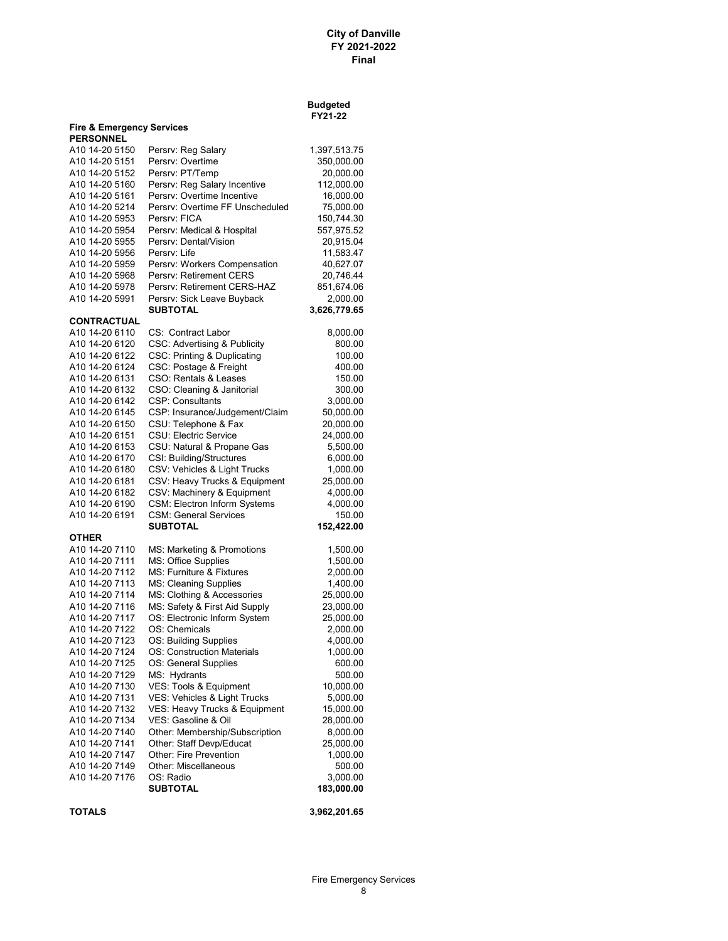|                                                          |                                        | Budgeted<br>FY21-22      |
|----------------------------------------------------------|----------------------------------------|--------------------------|
| <b>Fire &amp; Emergency Services</b><br><b>PERSONNEL</b> |                                        |                          |
| A10 14-20 5150                                           | Persrv: Reg Salary                     | 1,397,513.75             |
| A10 14-20 5151                                           | Persrv: Overtime                       | 350,000.00               |
| A10 14-20 5152                                           | Persrv: PT/Temp                        | 20,000.00                |
| A10 14-20 5160                                           | Persrv: Reg Salary Incentive           | 112,000.00               |
| A10 14-20 5161                                           | Persry: Overtime Incentive             | 16,000.00                |
| A10 14-20 5214                                           | Persry: Overtime FF Unscheduled        | 75,000.00                |
| A10 14-20 5953                                           | Persry: FICA                           | 150,744.30               |
| A10 14-20 5954                                           | Persrv: Medical & Hospital             | 557,975.52               |
| A10 14-20 5955                                           | Persrv: Dental/Vision                  | 20,915.04                |
| A10 14-20 5956                                           | Persrv: Life                           | 11,583.47                |
| A10 14-20 5959                                           | Persrv: Workers Compensation           | 40,627.07                |
| A10 14-20 5968                                           | Persrv: Retirement CERS                | 20,746.44                |
| A10 14-20 5978                                           | Persrv: Retirement CERS-HAZ            | 851,674.06               |
| A10 14-20 5991                                           | Persrv: Sick Leave Buyback<br>SUBTOTAL | 2,000.00<br>3,626,779.65 |
| <b>CONTRACTUAL</b>                                       |                                        |                          |
| A10 14-20 6110                                           | CS: Contract Labor                     | 8,000.00                 |
| A10 14-20 6120                                           | CSC: Advertising & Publicity           | 800.00                   |
| A10 14-20 6122                                           | CSC: Printing & Duplicating            | 100.00                   |
| A10 14-20 6124                                           | CSC: Postage & Freight                 | 400.00                   |
| A10 14-20 6131                                           | CSO: Rentals & Leases                  | 150.00                   |
| A10 14-20 6132                                           | CSO: Cleaning & Janitorial             | 300.00                   |
| A10 14-20 6142                                           | <b>CSP: Consultants</b>                | 3,000.00                 |
| A10 14-20 6145                                           | CSP: Insurance/Judgement/Claim         | 50,000.00                |
| A10 14-20 6150                                           | CSU: Telephone & Fax                   | 20,000.00                |
| A10 14-20 6151                                           | <b>CSU: Electric Service</b>           | 24,000.00                |
| A10 14-20 6153                                           | CSU: Natural & Propane Gas             | 5,500.00                 |
| A10 14-20 6170                                           | CSI: Building/Structures               | 6,000.00                 |
| A10 14-20 6180                                           | CSV: Vehicles & Light Trucks           | 1,000.00                 |
| A10 14-20 6181                                           | CSV: Heavy Trucks & Equipment          | 25,000.00                |
| A10 14-20 6182                                           | CSV: Machinery & Equipment             | 4,000.00                 |
| A10 14-20 6190                                           | <b>CSM: Electron Inform Systems</b>    | 4,000.00                 |
| A10 14-20 6191                                           | <b>CSM: General Services</b>           | 150.00                   |
| <b>OTHER</b>                                             | SUBTOTAL                               | 152,422.00               |
| A10 14-20 7110                                           | MS: Marketing & Promotions             | 1,500.00                 |
| A10 14-20 7111                                           | MS: Office Supplies                    | 1,500.00                 |
| A10 14-20 7112                                           | MS: Furniture & Fixtures               | 2,000.00                 |
| A10 14-20 7113                                           | MS: Cleaning Supplies                  | 1,400.00                 |
| A10 14-20 7114                                           | MS: Clothing & Accessories             | 25,000.00                |
| A10 14-20 7116                                           | MS: Safety & First Aid Supply          | 23,000.00                |
| A10 14-20 7117                                           | OS: Electronic Inform System           | 25,000.00                |
| A10 14-20 7122                                           | OS: Chemicals                          | 2,000.00                 |
| A10 14-20 7123                                           | OS: Building Supplies                  | 4,000.00                 |
| A10 14-20 7124                                           | OS: Construction Materials             | 1,000.00                 |
| A10 14-20 7125                                           | OS: General Supplies                   | 600.00                   |
| A10 14-20 7129                                           | MS: Hydrants                           | 500.00                   |
| A10 14-20 7130                                           | VES: Tools & Equipment                 | 10,000.00                |
| A10 14-20 7131                                           | VES: Vehicles & Light Trucks           | 5,000.00                 |
| A10 14-20 7132                                           | VES: Heavy Trucks & Equipment          | 15,000.00                |
| A10 14-20 7134                                           | VES: Gasoline & Oil                    | 28,000.00                |
| A10 14-20 7140                                           | Other: Membership/Subscription         | 8,000.00                 |
| A10 14-20 7141                                           | Other: Staff Devp/Educat               | 25,000.00                |
| A10 14-20 7147                                           | Other: Fire Prevention                 | 1,000.00                 |
| A10 14-20 7149                                           | Other: Miscellaneous                   | 500.00                   |
| A10 14-20 7176                                           | OS: Radio                              | 3,000.00                 |
|                                                          | SUBTOTAL                               | 183,000.00               |
|                                                          |                                        |                          |

**TOTALS 3,962,201.65**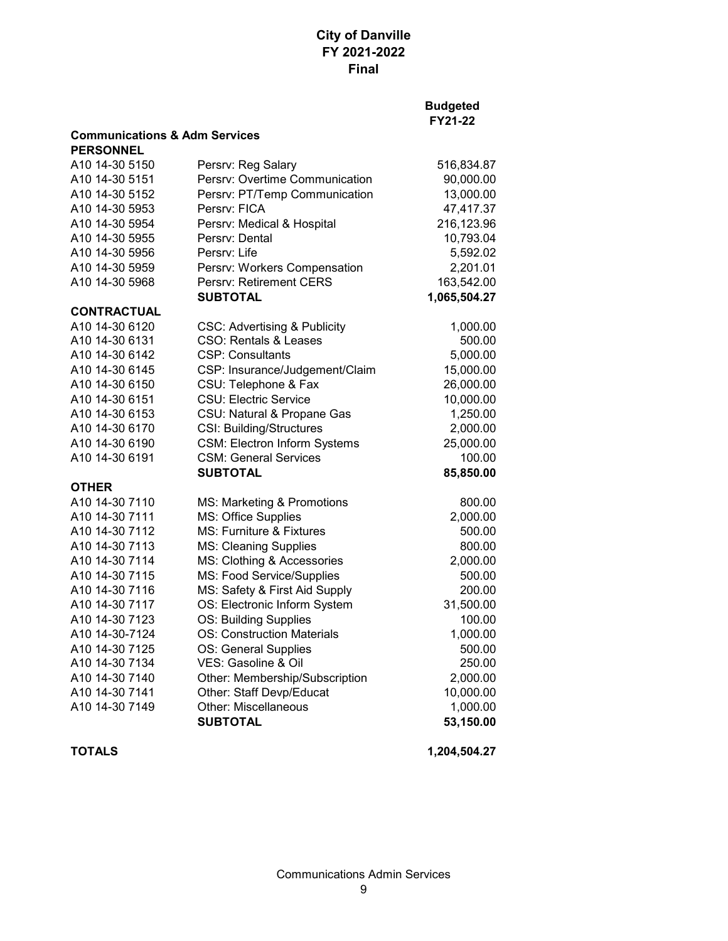### **Budgeted FY21-22**

| <b>Communications &amp; Adm Services</b> |  |  |
|------------------------------------------|--|--|
|                                          |  |  |

| <b>PERSONNEL</b>   |                                         |              |
|--------------------|-----------------------------------------|--------------|
| A10 14-30 5150     | Persrv: Reg Salary                      | 516,834.87   |
| A10 14-30 5151     | Persrv: Overtime Communication          | 90,000.00    |
| A10 14-30 5152     | Persrv: PT/Temp Communication           | 13,000.00    |
| A10 14-30 5953     | Persry: FICA                            | 47,417.37    |
| A10 14-30 5954     | Persrv: Medical & Hospital              | 216,123.96   |
| A10 14-30 5955     | Persry: Dental                          | 10,793.04    |
| A10 14-30 5956     | Persrv: Life                            | 5,592.02     |
| A10 14-30 5959     | Persrv: Workers Compensation            | 2,201.01     |
| A10 14-30 5968     | Persrv: Retirement CERS                 | 163,542.00   |
|                    | <b>SUBTOTAL</b>                         | 1,065,504.27 |
| <b>CONTRACTUAL</b> |                                         |              |
| A10 14-30 6120     | <b>CSC: Advertising &amp; Publicity</b> | 1,000.00     |
| A10 14-30 6131     | <b>CSO: Rentals &amp; Leases</b>        | 500.00       |
| A10 14-30 6142     | <b>CSP: Consultants</b>                 | 5,000.00     |
| A10 14-30 6145     | CSP: Insurance/Judgement/Claim          | 15,000.00    |
| A10 14-30 6150     | CSU: Telephone & Fax                    | 26,000.00    |
| A10 14-30 6151     | <b>CSU: Electric Service</b>            | 10,000.00    |
| A10 14-30 6153     | CSU: Natural & Propane Gas              | 1,250.00     |
| A10 14-30 6170     | <b>CSI: Building/Structures</b>         | 2,000.00     |
| A10 14-30 6190     | <b>CSM: Electron Inform Systems</b>     | 25,000.00    |
| A10 14-30 6191     | <b>CSM: General Services</b>            | 100.00       |
|                    | <b>SUBTOTAL</b>                         | 85,850.00    |
| <b>OTHER</b>       |                                         |              |
| A10 14-30 7110     | MS: Marketing & Promotions              | 800.00       |
| A10 14-30 7111     | MS: Office Supplies                     | 2,000.00     |
| A10 14-30 7112     | MS: Furniture & Fixtures                | 500.00       |
| A10 14-30 7113     | <b>MS: Cleaning Supplies</b>            | 800.00       |
| A10 14-30 7114     | MS: Clothing & Accessories              | 2,000.00     |
| A10 14-30 7115     | MS: Food Service/Supplies               | 500.00       |
| A10 14-30 7116     | MS: Safety & First Aid Supply           | 200.00       |
| A10 14-30 7117     | OS: Electronic Inform System            | 31,500.00    |
| A10 14-30 7123     | OS: Building Supplies                   | 100.00       |
| A10 14-30-7124     | <b>OS: Construction Materials</b>       | 1,000.00     |
| A10 14-30 7125     | OS: General Supplies                    | 500.00       |
| A10 14-30 7134     | VES: Gasoline & Oil                     | 250.00       |
| A10 14-30 7140     | Other: Membership/Subscription          | 2,000.00     |
| A10 14-30 7141     | Other: Staff Devp/Educat                | 10,000.00    |
| A10 14-30 7149     | <b>Other: Miscellaneous</b>             | 1,000.00     |
|                    | <b>SUBTOTAL</b>                         | 53,150.00    |
|                    |                                         |              |

**TOTALS 1,204,504.27**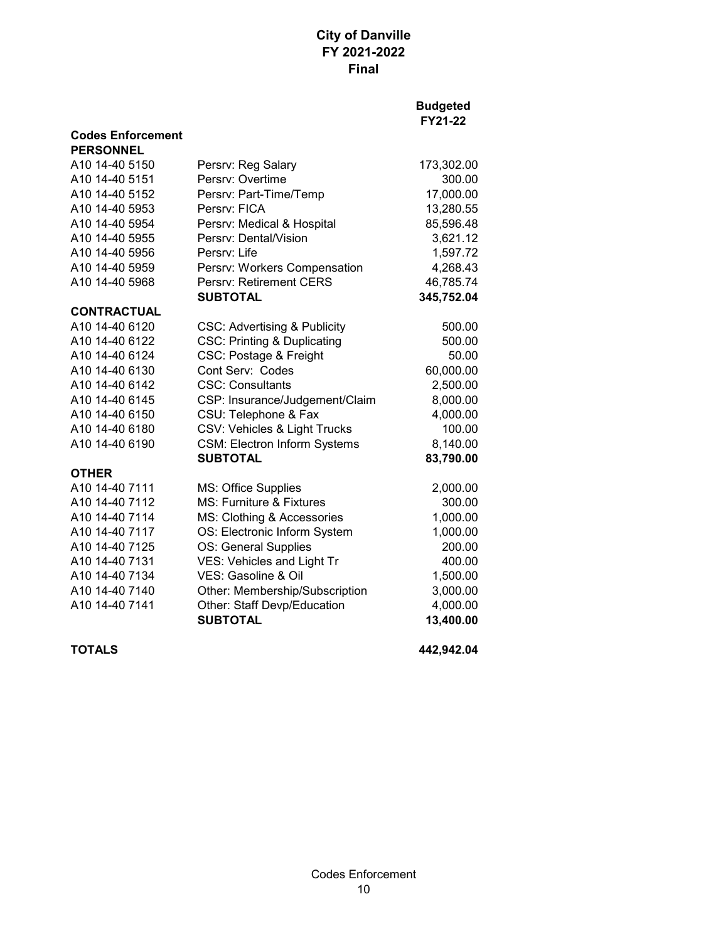#### **Budgeted FY21-22**

| <b>PERSONNEL</b>           |                                         |            |
|----------------------------|-----------------------------------------|------------|
| A10 14-40 5150             | Persrv: Reg Salary                      | 173,302.00 |
| A10 14-40 5151             | Persrv: Overtime                        | 300.00     |
| A10 14-40 5152             | Persrv: Part-Time/Temp                  | 17,000.00  |
| A10 14-40 5953             | Persry: FICA                            | 13,280.55  |
| A10 14-40 5954             | Persrv: Medical & Hospital              | 85,596.48  |
| A10 14-40 5955             | Persry: Dental/Vision                   | 3,621.12   |
| A <sub>10</sub> 14-40 5956 | Persry: Life                            | 1,597.72   |
| A10 14-40 5959             | Persrv: Workers Compensation            | 4,268.43   |
| A10 14-40 5968             | Persrv: Retirement CERS                 | 46,785.74  |
|                            | <b>SUBTOTAL</b>                         | 345,752.04 |
| <b>CONTRACTUAL</b>         |                                         |            |
| A10 14-40 6120             | <b>CSC: Advertising &amp; Publicity</b> | 500.00     |
| A10 14-40 6122             | <b>CSC: Printing &amp; Duplicating</b>  | 500.00     |
| A10 14-40 6124             | <b>CSC: Postage &amp; Freight</b>       | 50.00      |
| A10 14-40 6130             | Cont Serv: Codes                        | 60,000.00  |
| A10 14-40 6142             | <b>CSC: Consultants</b>                 | 2,500.00   |
| A10 14-40 6145             | CSP: Insurance/Judgement/Claim          | 8,000.00   |
| A10 14-40 6150             | CSU: Telephone & Fax                    | 4,000.00   |
| A10 14-40 6180             | CSV: Vehicles & Light Trucks            | 100.00     |
| A10 14-40 6190             | <b>CSM: Electron Inform Systems</b>     | 8,140.00   |
|                            | <b>SUBTOTAL</b>                         | 83,790.00  |
| <b>OTHER</b>               |                                         |            |
| A10 14-40 7111             | <b>MS: Office Supplies</b>              | 2,000.00   |
| A10 14-40 7112             | MS: Furniture & Fixtures                | 300.00     |
| A10 14-40 7114             | MS: Clothing & Accessories              | 1,000.00   |
| A10 14-40 7117             | OS: Electronic Inform System            | 1,000.00   |
| A10 14-40 7125             | OS: General Supplies                    | 200.00     |
| A10 14-40 7131             | VES: Vehicles and Light Tr              | 400.00     |
| A10 14-40 7134             | VES: Gasoline & Oil                     | 1,500.00   |
| A10 14-40 7140             | Other: Membership/Subscription          | 3,000.00   |
| A10 14-40 7141             | Other: Staff Devp/Education             | 4,000.00   |
|                            | <b>SUBTOTAL</b>                         | 13,400.00  |
|                            |                                         |            |

**Codes Enforcement**

**TOTALS 442,942.04**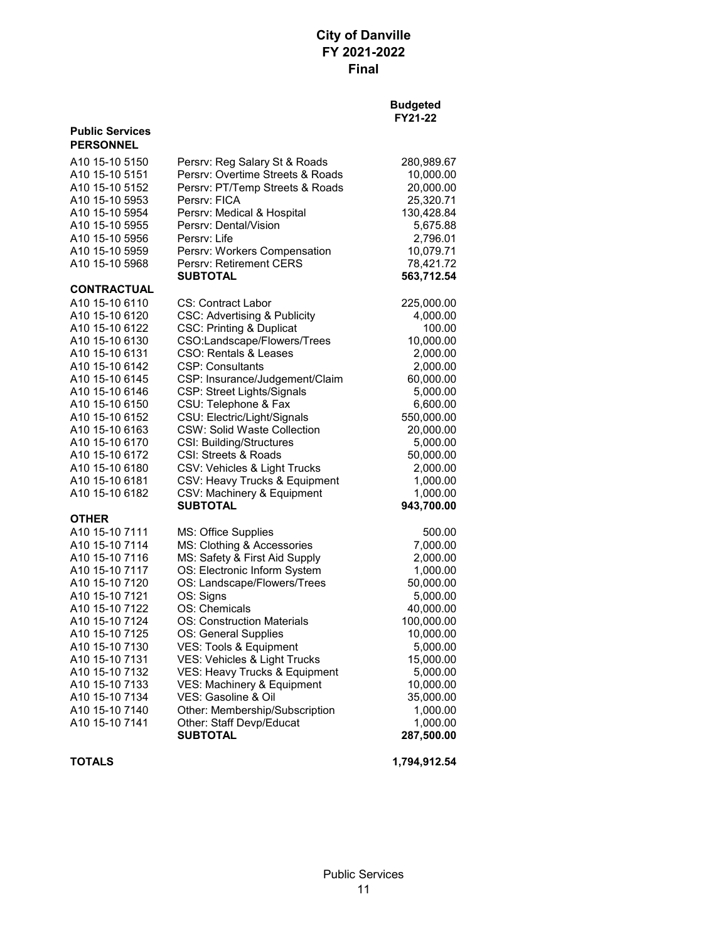#### **Budgeted FY21-22**

| <b>PERSONNEL</b>                 |                                                             |                       |
|----------------------------------|-------------------------------------------------------------|-----------------------|
| A10 15-10 5150                   | Persrv: Reg Salary St & Roads                               | 280,989.67            |
| A10 15-10 5151                   | Persry: Overtime Streets & Roads                            | 10,000.00             |
| A10 15-10 5152                   | Persrv: PT/Temp Streets & Roads                             | 20,000.00             |
| A10 15-10 5953                   | Persry: FICA                                                | 25,320.71             |
| A10 15-10 5954                   | Persrv: Medical & Hospital                                  | 130,428.84            |
| A10 15-10 5955                   | Persrv: Dental/Vision                                       | 5,675.88              |
| A10 15-10 5956                   | Persry: Life                                                | 2,796.01              |
| A10 15-10 5959                   | Persrv: Workers Compensation                                | 10,079.71             |
| A10 15-10 5968                   | <b>Persry: Retirement CERS</b>                              | 78,421.72             |
|                                  | <b>SUBTOTAL</b>                                             | 563,712.54            |
| <b>CONTRACTUAL</b>               |                                                             |                       |
| A10 15-10 6110                   | <b>CS: Contract Labor</b>                                   | 225,000.00            |
| A10 15-10 6120                   | <b>CSC: Advertising &amp; Publicity</b>                     | 4,000.00              |
| A10 15-10 6122                   | <b>CSC: Printing &amp; Duplicat</b>                         | 100.00                |
| A10 15-10 6130                   | CSO:Landscape/Flowers/Trees                                 | 10,000.00             |
| A10 15-10 6131                   | CSO: Rentals & Leases                                       | 2,000.00              |
| A10 15-10 6142                   | <b>CSP: Consultants</b>                                     | 2,000.00              |
| A10 15-10 6145                   | CSP: Insurance/Judgement/Claim                              | 60,000.00             |
| A10 15-10 6146                   | CSP: Street Lights/Signals                                  | 5,000.00              |
| A10 15-10 6150                   | CSU: Telephone & Fax                                        | 6,600.00              |
| A10 15-10 6152                   | CSU: Electric/Light/Signals                                 | 550,000.00            |
| A10 15-10 6163                   | <b>CSW: Solid Waste Collection</b>                          | 20,000.00             |
| A10 15-10 6170                   | <b>CSI: Building/Structures</b>                             | 5,000.00              |
| A10 15-10 6172                   | CSI: Streets & Roads                                        | 50,000.00             |
| A10 15-10 6180                   | CSV: Vehicles & Light Trucks                                | 2,000.00              |
| A10 15-10 6181                   | CSV: Heavy Trucks & Equipment                               | 1,000.00              |
| A10 15-10 6182                   | CSV: Machinery & Equipment<br><b>SUBTOTAL</b>               | 1,000.00              |
| <b>OTHER</b>                     |                                                             | 943,700.00            |
| A10 15-10 7111                   |                                                             |                       |
|                                  | MS: Office Supplies                                         | 500.00                |
| A10 15-10 7114<br>A10 15-10 7116 | MS: Clothing & Accessories<br>MS: Safety & First Aid Supply | 7,000.00<br>2,000.00  |
| A10 15-10 7117                   | OS: Electronic Inform System                                |                       |
| A10 15-10 7120                   | OS: Landscape/Flowers/Trees                                 | 1,000.00<br>50,000.00 |
| A10 15-10 7121                   | OS: Signs                                                   | 5,000.00              |
| A10 15-10 7122                   | OS: Chemicals                                               | 40,000.00             |
| A10 15-10 7124                   | OS: Construction Materials                                  | 100,000.00            |
| A10 15-10 7125                   | OS: General Supplies                                        | 10,000.00             |
| A10 15-10 7130                   | VES: Tools & Equipment                                      | 5,000.00              |
| A10 15-10 7131                   | VES: Vehicles & Light Trucks                                | 15,000.00             |
| A10 15-10 7132                   | VES: Heavy Trucks & Equipment                               | 5,000.00              |
| A10 15-10 7133                   | VES: Machinery & Equipment                                  | 10,000.00             |
| A10 15-10 7134                   | VES: Gasoline & Oil                                         | 35,000.00             |
| A10 15-10 7140                   | Other: Membership/Subscription                              | 1,000.00              |
| A10 15-10 7141                   | Other: Staff Devp/Educat                                    | 1,000.00              |
|                                  | SUBTOTAL                                                    | 287,500.00            |
|                                  |                                                             |                       |

**Public Services**

**TOTALS 1,794,912.54**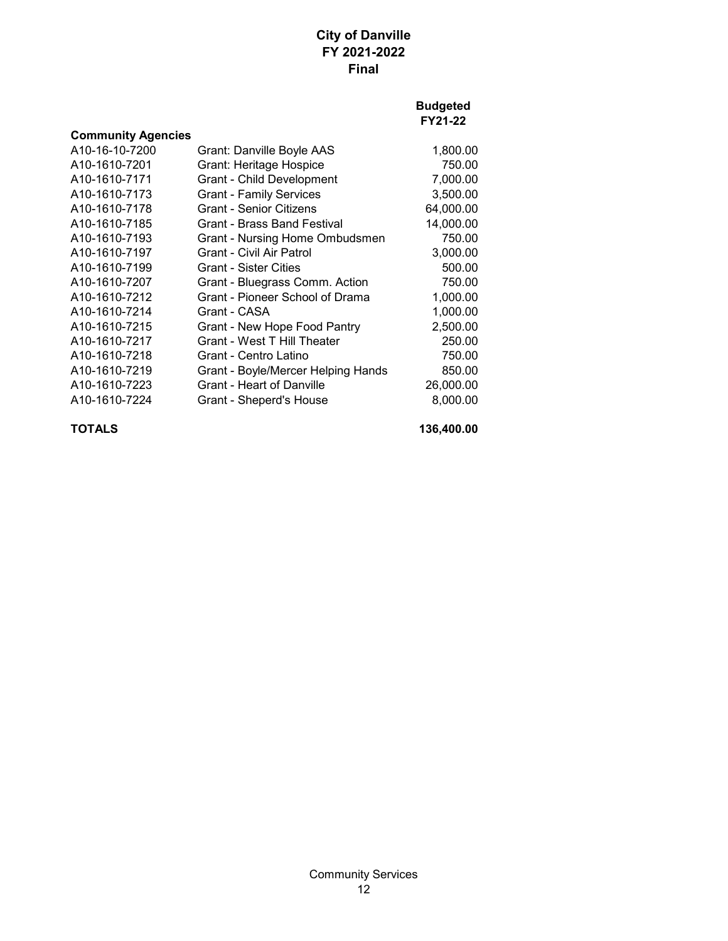### **Budgeted FY21-22**

| <b>Community Agencies</b>  |                                    |           |
|----------------------------|------------------------------------|-----------|
| A10-16-10-7200             | Grant: Danville Boyle AAS          | 1,800.00  |
| A10-1610-7201              | <b>Grant: Heritage Hospice</b>     | 750.00    |
| A <sub>10</sub> -1610-7171 | <b>Grant - Child Development</b>   | 7,000.00  |
| A <sub>10</sub> -1610-7173 | <b>Grant - Family Services</b>     | 3,500.00  |
| A <sub>10</sub> -1610-7178 | Grant - Senior Citizens            | 64,000.00 |
| A10-1610-7185              | Grant - Brass Band Festival        | 14,000.00 |
| A10-1610-7193              | Grant - Nursing Home Ombudsmen     | 750.00    |
| A <sub>10</sub> -1610-7197 | Grant - Civil Air Patrol           | 3,000.00  |
| A <sub>10</sub> -1610-7199 | <b>Grant - Sister Cities</b>       | 500.00    |
| A10-1610-7207              | Grant - Bluegrass Comm. Action     | 750.00    |
| A10-1610-7212              | Grant - Pioneer School of Drama    | 1,000.00  |
| A10-1610-7214              | Grant - CASA                       | 1,000.00  |
| A10-1610-7215              | Grant - New Hope Food Pantry       | 2,500.00  |
| A10-1610-7217              | Grant - West T Hill Theater        | 250.00    |
| A10-1610-7218              | Grant - Centro Latino              | 750.00    |
| A10-1610-7219              | Grant - Boyle/Mercer Helping Hands | 850.00    |
| A <sub>10</sub> -1610-7223 | Grant - Heart of Danville          | 26,000.00 |
| A <sub>10</sub> -1610-7224 | Grant - Sheperd's House            | 8,000.00  |

**TOTALS 136,400.00**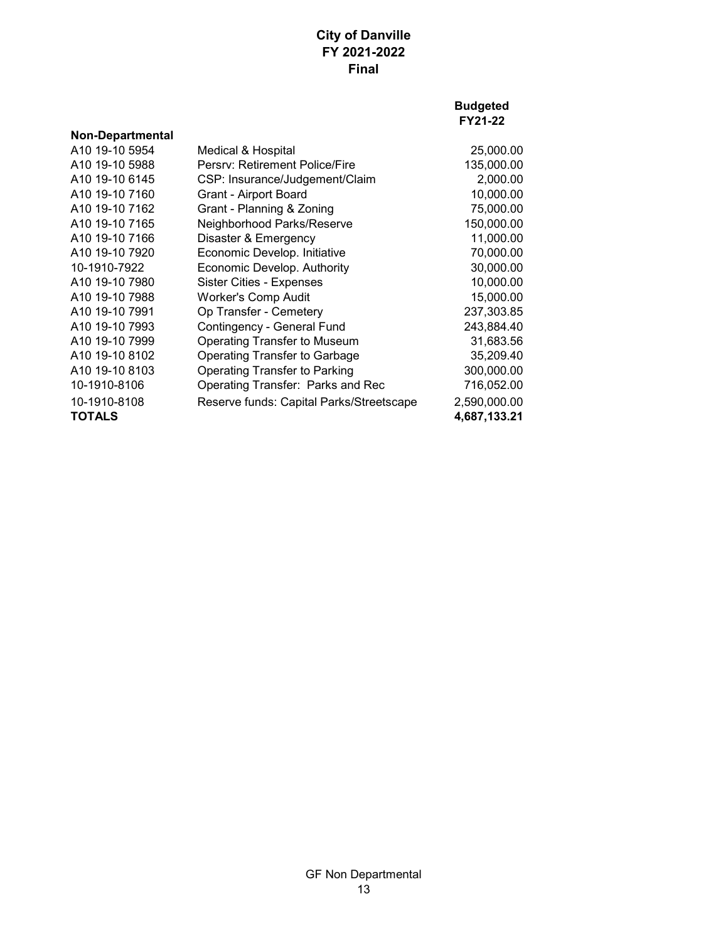|                         |                                          | <b>Budgeted</b><br>FY21-22 |
|-------------------------|------------------------------------------|----------------------------|
| <b>Non-Departmental</b> |                                          |                            |
| A10 19-10 5954          | Medical & Hospital                       | 25,000.00                  |
| A10 19-10 5988          | Persry: Retirement Police/Fire           | 135,000.00                 |
| A10 19-10 6145          | CSP: Insurance/Judgement/Claim           | 2,000.00                   |
| A10 19-10 7160          | Grant - Airport Board                    | 10,000.00                  |
| A10 19-10 7162          | Grant - Planning & Zoning                | 75,000.00                  |
| A10 19-10 7165          | Neighborhood Parks/Reserve               | 150,000.00                 |
| A10 19-10 7166          | Disaster & Emergency                     | 11,000.00                  |
| A10 19-10 7920          | Economic Develop. Initiative             | 70,000.00                  |
| 10-1910-7922            | Economic Develop. Authority              | 30,000.00                  |
| A10 19-10 7980          | Sister Cities - Expenses                 | 10,000.00                  |
| A10 19-10 7988          | <b>Worker's Comp Audit</b>               | 15,000.00                  |
| A10 19-10 7991          | Op Transfer - Cemetery                   | 237,303.85                 |
| A10 19-10 7993          | Contingency - General Fund               | 243,884.40                 |
| A10 19-10 7999          | Operating Transfer to Museum             | 31,683.56                  |
| A10 19-10 8102          | Operating Transfer to Garbage            | 35,209.40                  |
| A10 19-10 8103          | Operating Transfer to Parking            | 300,000.00                 |
| 10-1910-8106            | Operating Transfer: Parks and Rec        | 716,052.00                 |
| 10-1910-8108            | Reserve funds: Capital Parks/Streetscape | 2,590,000.00               |
| <b>TOTALS</b>           |                                          | 4,687,133.21               |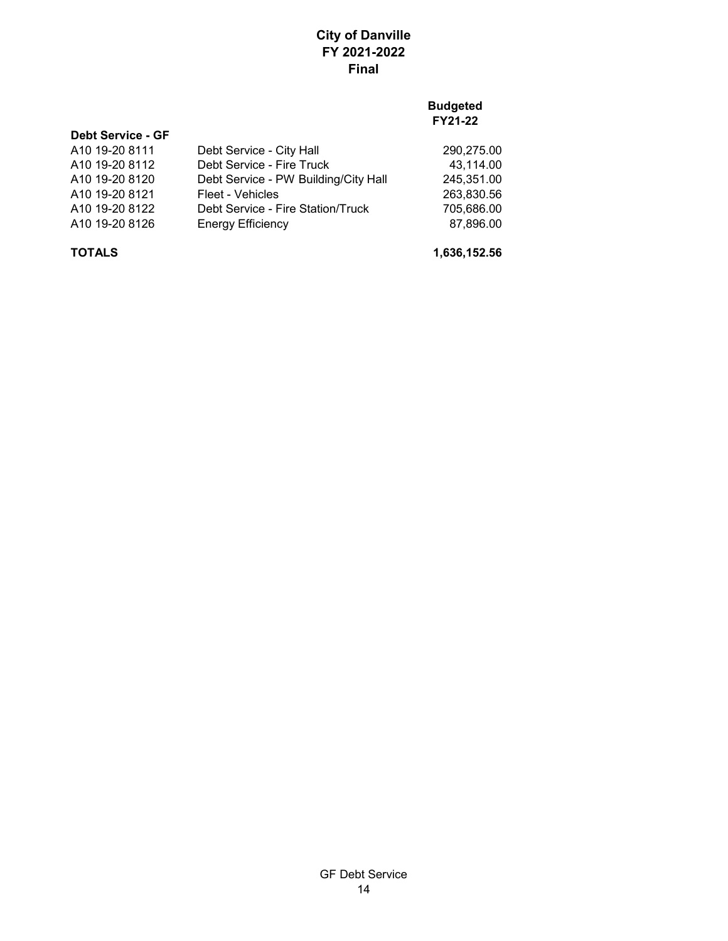## **Budgeted FY21-22**

| 290,275.00                                                                                                                                                                         |
|------------------------------------------------------------------------------------------------------------------------------------------------------------------------------------|
| 43,114.00                                                                                                                                                                          |
| 245,351.00                                                                                                                                                                         |
| 263,830.56                                                                                                                                                                         |
| 705,686.00                                                                                                                                                                         |
| 87,896.00                                                                                                                                                                          |
| Debt Service - City Hall<br>Debt Service - Fire Truck<br>Debt Service - PW Building/City Hall<br>Fleet - Vehicles<br>Debt Service - Fire Station/Truck<br><b>Energy Efficiency</b> |

**TOTALS 1,636,152.56**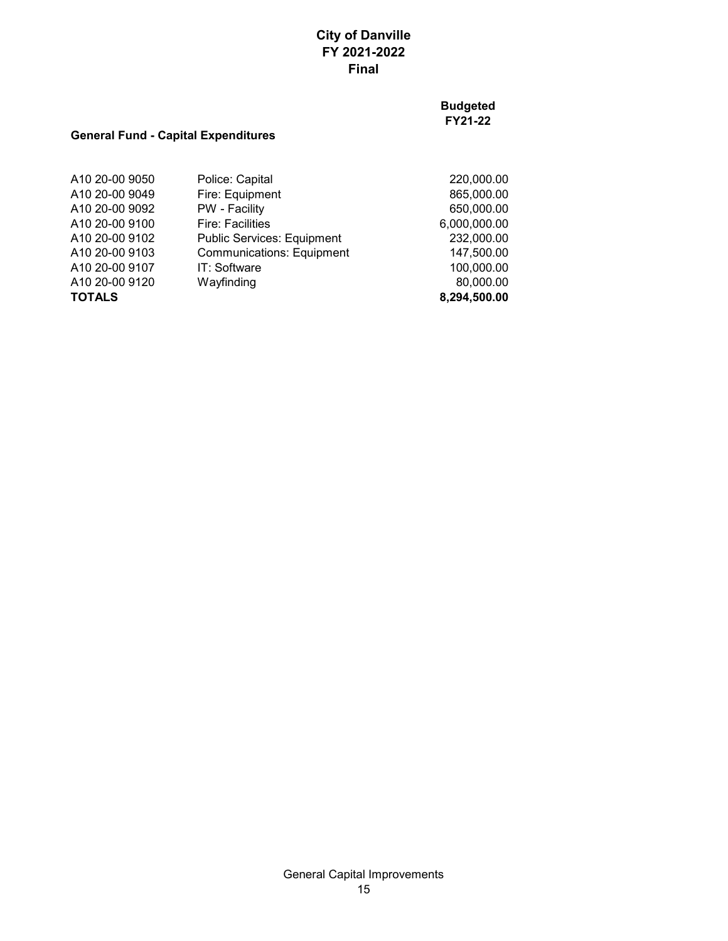**Budgeted FY21-22**

## **General Fund - Capital Expenditures**

| <b>TOTALS</b>  |                                   | 8,294,500.00 |
|----------------|-----------------------------------|--------------|
| A10 20-00 9120 | Wayfinding                        | 80,000.00    |
| A10 20-00 9107 | IT: Software                      | 100,000.00   |
| A10 20-00 9103 | <b>Communications: Equipment</b>  | 147,500.00   |
| A10 20-00 9102 | <b>Public Services: Equipment</b> | 232,000.00   |
| A10 20-00 9100 | <b>Fire: Facilities</b>           | 6,000,000.00 |
| A10 20-00 9092 | PW - Facility                     | 650,000.00   |
| A10 20-00 9049 | Fire: Equipment                   | 865,000.00   |
| A10 20-00 9050 | Police: Capital                   | 220,000.00   |
|                |                                   |              |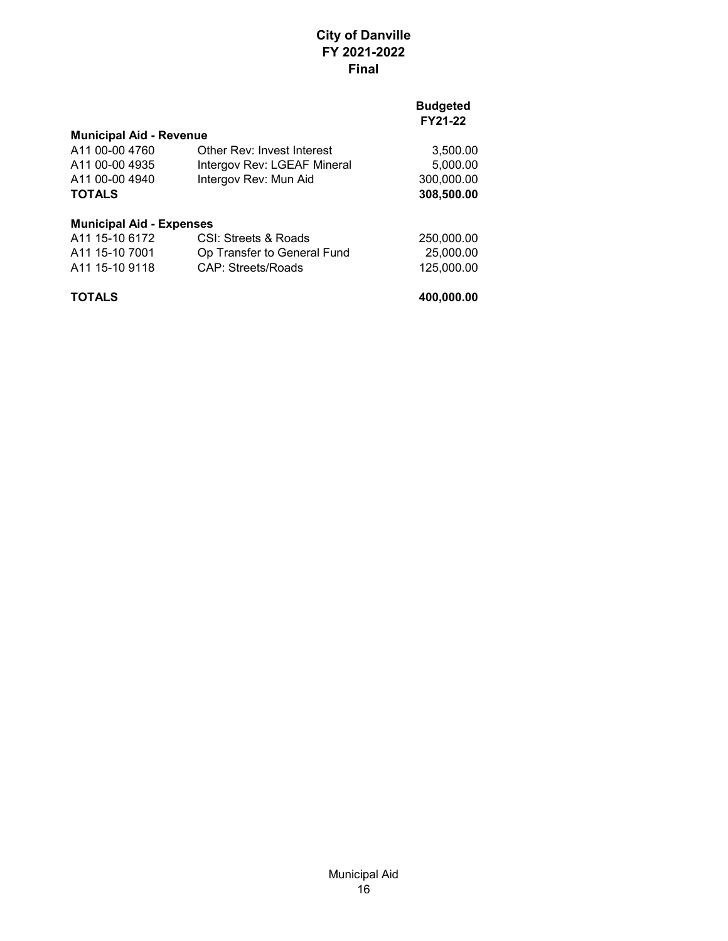### **Budgeted FY21-22**

| <b>Municipal Aid - Revenue</b>  |                             |            |
|---------------------------------|-----------------------------|------------|
| A11 00-00 4760                  | Other Rev: Invest Interest  | 3,500.00   |
| A11 00-00 4935                  | Intergov Rev: LGEAF Mineral | 5,000.00   |
| A11 00-00 4940                  | Intergov Rev: Mun Aid       | 300,000.00 |
| <b>TOTALS</b>                   |                             | 308,500.00 |
| <b>Municipal Aid - Expenses</b> |                             |            |
| A11 15-10 6172                  | CSI: Streets & Roads        | 250,000.00 |
| A11 15-10 7001                  | Op Transfer to General Fund | 25,000.00  |
| A11 15-10 9118                  | <b>CAP: Streets/Roads</b>   | 125,000.00 |

**TOTALS 400,000.00**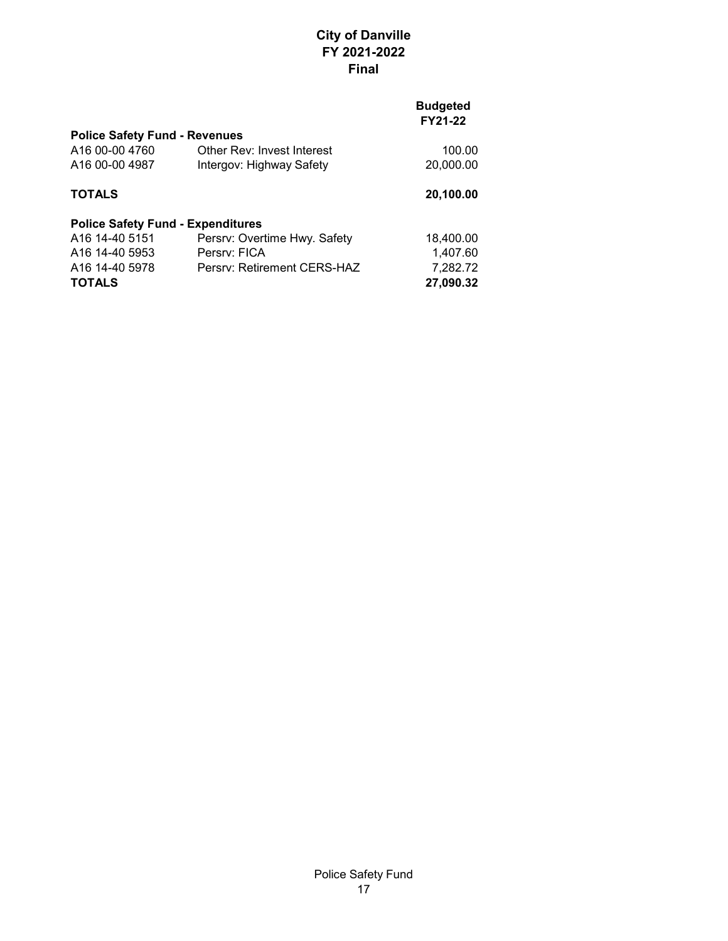| <b>Police Safety Fund - Revenues</b>     |                              |           |  |
|------------------------------------------|------------------------------|-----------|--|
| A16 00-00 4760                           | Other Rev: Invest Interest   | 100.00    |  |
| A16 00-00 4987                           | Intergov: Highway Safety     | 20,000.00 |  |
| <b>TOTALS</b>                            |                              | 20,100.00 |  |
| <b>Police Safety Fund - Expenditures</b> |                              |           |  |
| A16 14-40 5151                           | Persrv: Overtime Hwy. Safety | 18,400.00 |  |
| A <sub>16</sub> 14-40 5953               | Persry: FICA                 | 1,407.60  |  |
| A <sub>16</sub> 14-40 5978               | Persry: Retirement CERS-HAZ  | 7,282.72  |  |
| <b>TOTALS</b>                            |                              | 27,090.32 |  |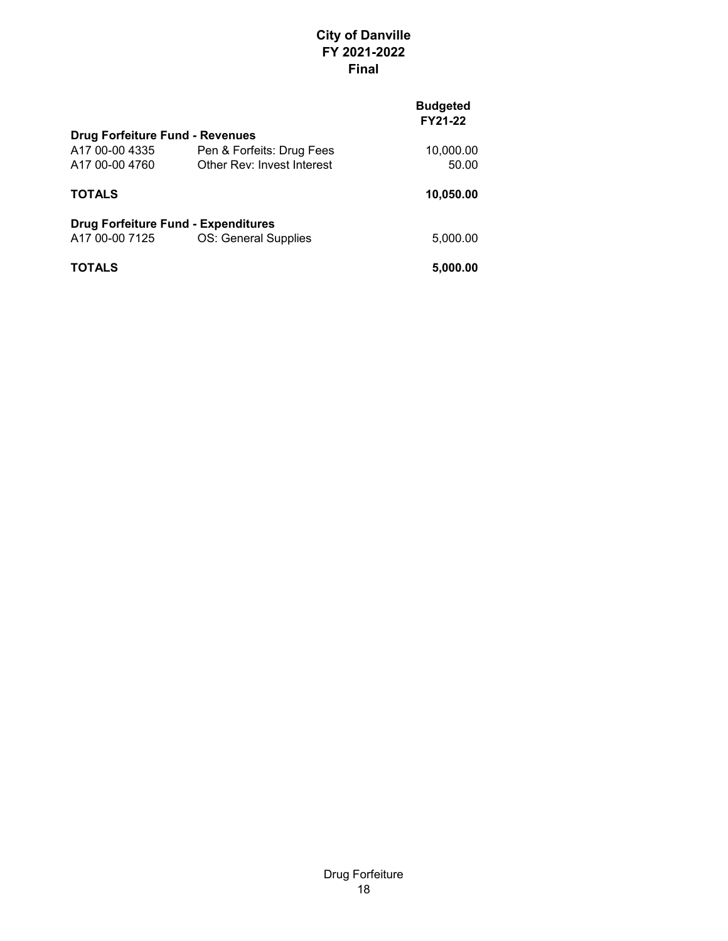| <b>Drug Forfeiture Fund - Revenues</b>     |           |
|--------------------------------------------|-----------|
| Pen & Forfeits: Drug Fees                  | 10,000.00 |
| Other Rev: Invest Interest                 | 50.00     |
|                                            | 10,050.00 |
| <b>Drug Forfeiture Fund - Expenditures</b> |           |
| OS: General Supplies                       | 5,000.00  |
|                                            | 5,000.00  |
|                                            |           |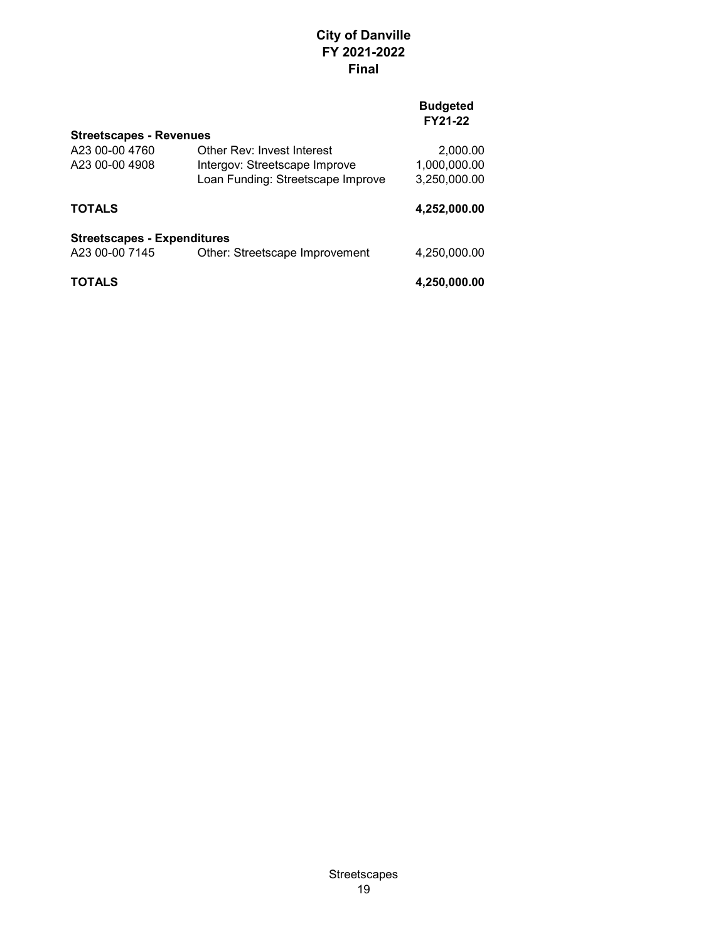| Streetscapes - Revenues            |                                   |              |
|------------------------------------|-----------------------------------|--------------|
| A23 00-00 4760                     | Other Rev: Invest Interest        | 2,000.00     |
| A23 00-00 4908                     | Intergov: Streetscape Improve     | 1,000,000.00 |
|                                    | Loan Funding: Streetscape Improve | 3,250,000.00 |
| <b>TOTALS</b>                      |                                   | 4,252,000.00 |
| <b>Streetscapes - Expenditures</b> |                                   |              |
| A23 00-00 7145                     | Other: Streetscape Improvement    | 4,250,000.00 |
| <b>TOTALS</b>                      |                                   | 4,250,000.00 |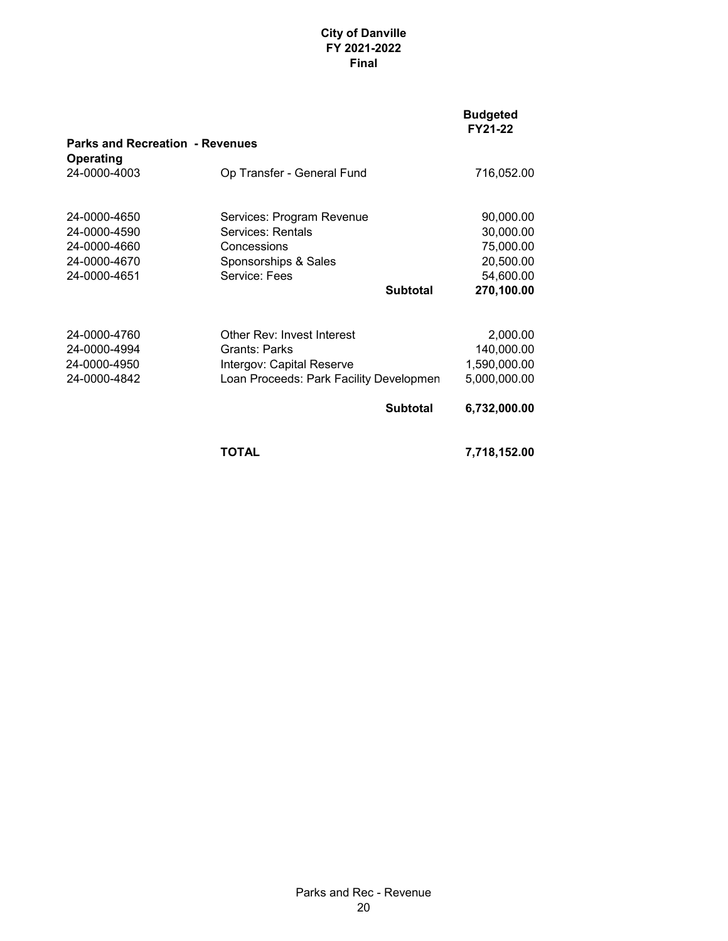|                                                            |                                         |                 | <b>Budgeted</b><br>FY21-22 |
|------------------------------------------------------------|-----------------------------------------|-----------------|----------------------------|
| <b>Parks and Recreation - Revenues</b><br><b>Operating</b> |                                         |                 |                            |
| 24-0000-4003                                               | Op Transfer - General Fund              |                 | 716,052.00                 |
| 24-0000-4650                                               | Services: Program Revenue               |                 | 90,000.00                  |
| 24-0000-4590                                               | Services: Rentals                       |                 | 30,000.00                  |
| 24-0000-4660                                               | Concessions                             |                 | 75,000.00                  |
| 24-0000-4670                                               | Sponsorships & Sales                    |                 | 20,500.00                  |
| 24-0000-4651                                               | Service: Fees                           |                 | 54,600.00                  |
|                                                            |                                         | <b>Subtotal</b> | 270,100.00                 |
|                                                            |                                         |                 |                            |
| 24-0000-4760                                               | Other Rev: Invest Interest              |                 | 2,000.00                   |
| 24-0000-4994                                               | Grants: Parks                           |                 | 140,000.00                 |
| 24-0000-4950                                               | Intergov: Capital Reserve               |                 | 1,590,000.00               |
| 24-0000-4842                                               | Loan Proceeds: Park Facility Developmen |                 | 5,000,000.00               |
|                                                            |                                         | <b>Subtotal</b> | 6,732,000.00               |
|                                                            | TOTAL                                   |                 | 7,718,152.00               |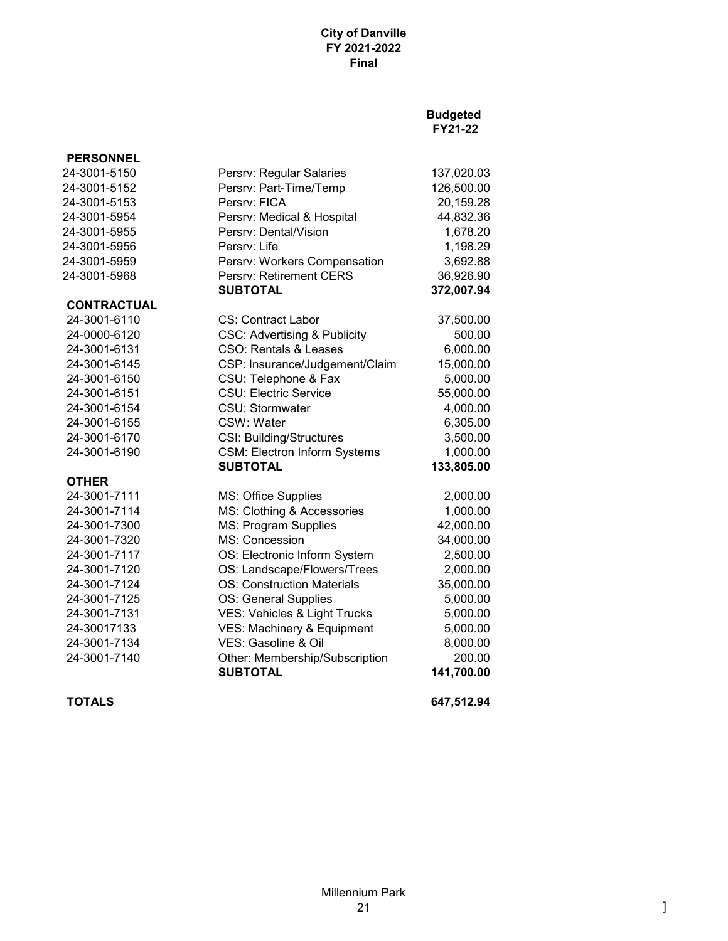## **Budgeted FY21-22**

| <b>PERSONNEL</b>   |                                         |            |
|--------------------|-----------------------------------------|------------|
| 24-3001-5150       | Persrv: Regular Salaries                | 137,020.03 |
| 24-3001-5152       | Persrv: Part-Time/Temp                  | 126,500.00 |
| 24-3001-5153       | Persry: FICA                            | 20,159.28  |
| 24-3001-5954       | Persrv: Medical & Hospital              | 44,832.36  |
| 24-3001-5955       | Persry: Dental/Vision                   | 1,678.20   |
| 24-3001-5956       | Persry: Life                            | 1,198.29   |
| 24-3001-5959       | Persrv: Workers Compensation            | 3,692.88   |
| 24-3001-5968       | <b>Persry: Retirement CERS</b>          | 36,926.90  |
|                    | <b>SUBTOTAL</b>                         | 372,007.94 |
| <b>CONTRACTUAL</b> |                                         |            |
| 24-3001-6110       | CS: Contract Labor                      | 37,500.00  |
| 24-0000-6120       | <b>CSC: Advertising &amp; Publicity</b> | 500.00     |
| 24-3001-6131       | CSO: Rentals & Leases                   | 6,000.00   |
| 24-3001-6145       | CSP: Insurance/Judgement/Claim          | 15,000.00  |
| 24-3001-6150       | CSU: Telephone & Fax                    | 5,000.00   |
| 24-3001-6151       | <b>CSU: Electric Service</b>            | 55,000.00  |
| 24-3001-6154       | CSU: Stormwater                         | 4,000.00   |
| 24-3001-6155       | CSW: Water                              | 6,305.00   |
| 24-3001-6170       | <b>CSI: Building/Structures</b>         | 3,500.00   |
| 24-3001-6190       | <b>CSM: Electron Inform Systems</b>     | 1,000.00   |
|                    | <b>SUBTOTAL</b>                         | 133,805.00 |
| <b>OTHER</b>       |                                         |            |
| 24-3001-7111       | <b>MS: Office Supplies</b>              | 2,000.00   |
| 24-3001-7114       | MS: Clothing & Accessories              | 1,000.00   |
| 24-3001-7300       | MS: Program Supplies                    | 42,000.00  |
| 24-3001-7320       | MS: Concession                          | 34,000.00  |
| 24-3001-7117       | OS: Electronic Inform System            | 2,500.00   |
| 24-3001-7120       | OS: Landscape/Flowers/Trees             | 2,000.00   |
| 24-3001-7124       | <b>OS: Construction Materials</b>       | 35,000.00  |
| 24-3001-7125       | OS: General Supplies                    | 5,000.00   |
| 24-3001-7131       | VES: Vehicles & Light Trucks            | 5,000.00   |
| 24-30017133        | VES: Machinery & Equipment              | 5,000.00   |
| 24-3001-7134       | VES: Gasoline & Oil                     | 8,000.00   |
| 24-3001-7140       | Other: Membership/Subscription          | 200.00     |
|                    | <b>SUBTOTAL</b>                         | 141,700.00 |

**TOTALS 647,512.94**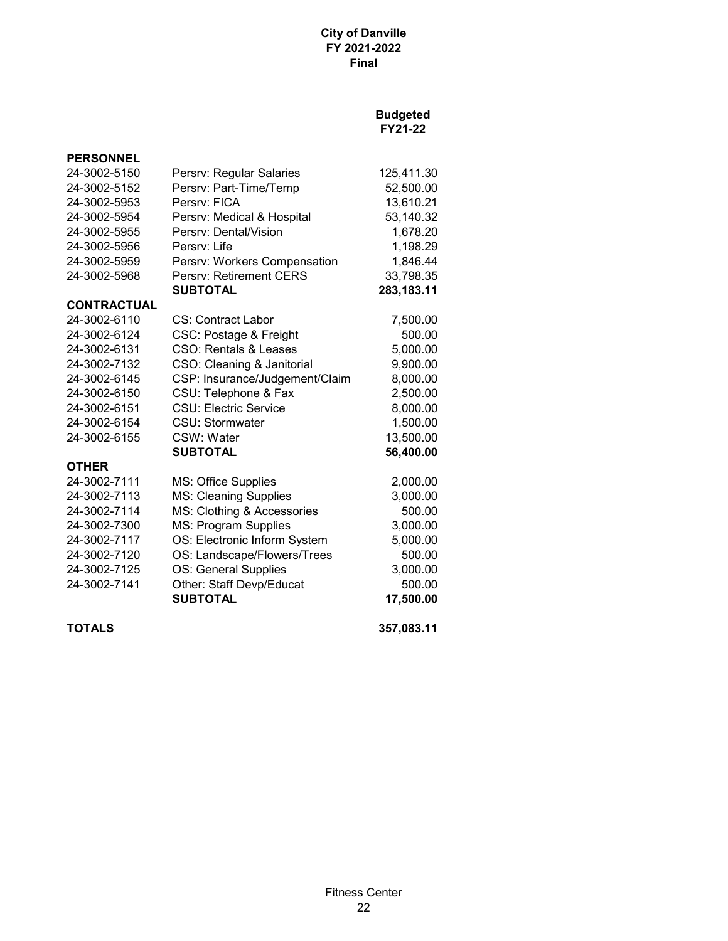| <b>PERSONNEL</b>   |                                |            |
|--------------------|--------------------------------|------------|
| 24-3002-5150       | Persrv: Regular Salaries       | 125,411.30 |
| 24-3002-5152       | Persrv: Part-Time/Temp         | 52,500.00  |
| 24-3002-5953       | Persry: FICA                   | 13,610.21  |
| 24-3002-5954       | Persrv: Medical & Hospital     | 53,140.32  |
| 24-3002-5955       | Persrv: Dental/Vision          | 1,678.20   |
| 24-3002-5956       | Persry: Life                   | 1,198.29   |
| 24-3002-5959       | Persrv: Workers Compensation   | 1,846.44   |
| 24-3002-5968       | Persrv: Retirement CERS        | 33,798.35  |
|                    | <b>SUBTOTAL</b>                | 283,183.11 |
| <b>CONTRACTUAL</b> |                                |            |
| 24-3002-6110       | CS: Contract Labor             | 7,500.00   |
| 24-3002-6124       | CSC: Postage & Freight         | 500.00     |
| 24-3002-6131       | CSO: Rentals & Leases          | 5,000.00   |
| 24-3002-7132       | CSO: Cleaning & Janitorial     | 9,900.00   |
| 24-3002-6145       | CSP: Insurance/Judgement/Claim | 8,000.00   |
| 24-3002-6150       | CSU: Telephone & Fax           | 2,500.00   |
| 24-3002-6151       | <b>CSU: Electric Service</b>   | 8,000.00   |
| 24-3002-6154       | CSU: Stormwater                | 1,500.00   |
| 24-3002-6155       | CSW: Water                     | 13,500.00  |
|                    | <b>SUBTOTAL</b>                | 56,400.00  |
| <b>OTHER</b>       |                                |            |
| 24-3002-7111       | <b>MS: Office Supplies</b>     | 2,000.00   |
| 24-3002-7113       | <b>MS: Cleaning Supplies</b>   | 3,000.00   |
| 24-3002-7114       | MS: Clothing & Accessories     | 500.00     |
| 24-3002-7300       | MS: Program Supplies           | 3,000.00   |
| 24-3002-7117       | OS: Electronic Inform System   | 5,000.00   |
| 24-3002-7120       | OS: Landscape/Flowers/Trees    | 500.00     |
| 24-3002-7125       | OS: General Supplies           | 3,000.00   |
| 24-3002-7141       | Other: Staff Devp/Educat       | 500.00     |
|                    | <b>SUBTOTAL</b>                | 17,500.00  |
| <b>TOTALS</b>      |                                | 357,083.11 |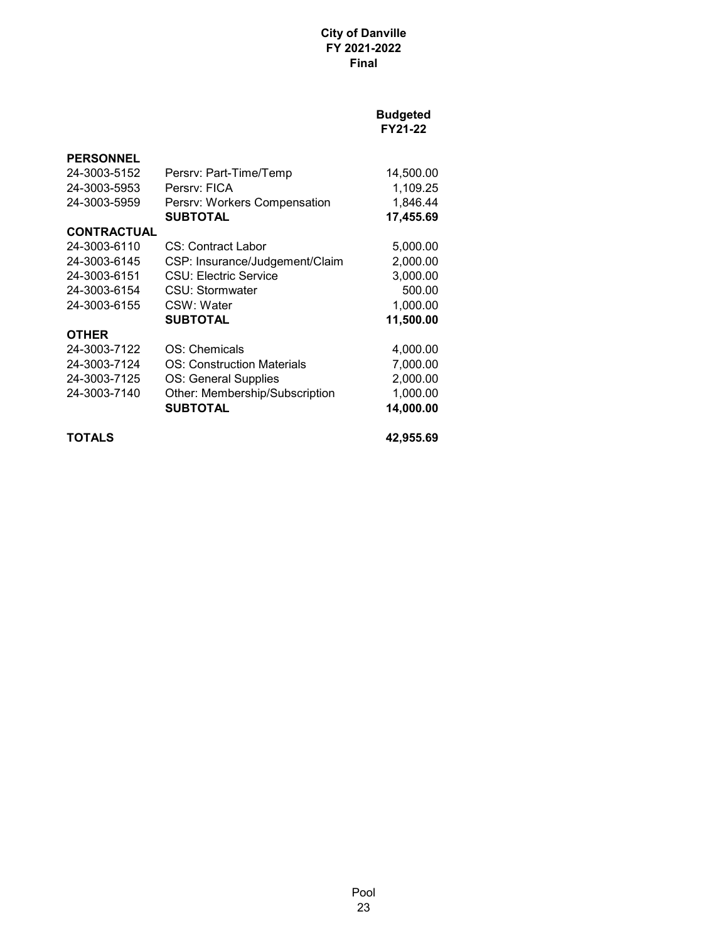| <b>PERSONNEL</b>   |                                |           |
|--------------------|--------------------------------|-----------|
| 24-3003-5152       | Persrv: Part-Time/Temp         | 14,500.00 |
| 24-3003-5953       | Persry: FICA                   | 1,109.25  |
| 24-3003-5959       | Persrv: Workers Compensation   | 1,846.44  |
|                    | <b>SUBTOTAL</b>                | 17,455.69 |
| <b>CONTRACTUAL</b> |                                |           |
| 24-3003-6110       | CS: Contract Labor             | 5,000.00  |
| 24-3003-6145       | CSP: Insurance/Judgement/Claim | 2,000.00  |
| 24-3003-6151       | CSU: Electric Service          | 3,000.00  |
| 24-3003-6154       | CSU: Stormwater                | 500.00    |
| 24-3003-6155       | CSW: Water                     | 1,000.00  |
|                    | <b>SUBTOTAL</b>                | 11,500.00 |
| <b>OTHER</b>       |                                |           |
| 24-3003-7122       | OS: Chemicals                  | 4,000.00  |
| 24-3003-7124       | OS: Construction Materials     | 7,000.00  |
| 24-3003-7125       | OS: General Supplies           | 2,000.00  |
| 24-3003-7140       | Other: Membership/Subscription | 1,000.00  |
|                    | <b>SUBTOTAL</b>                | 14,000.00 |
| TOTALS             |                                | 42,955.69 |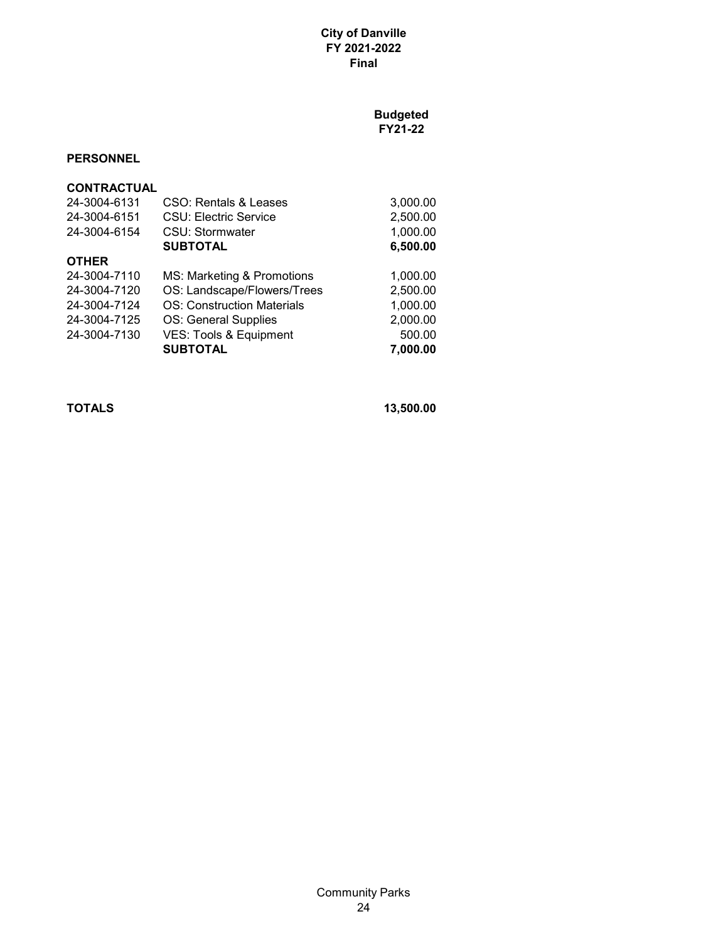**Budgeted FY21-22**

## **PERSONNEL**

| <b>CONTRACTUAL</b> |                                   |          |
|--------------------|-----------------------------------|----------|
| 24-3004-6131       | CSO: Rentals & Leases             | 3,000.00 |
| 24-3004-6151       | <b>CSU: Electric Service</b>      | 2,500.00 |
| 24-3004-6154       | CSU: Stormwater                   | 1,000.00 |
|                    | <b>SUBTOTAL</b>                   | 6,500.00 |
| <b>OTHER</b>       |                                   |          |
| 24-3004-7110       | MS: Marketing & Promotions        | 1,000.00 |
| 24-3004-7120       | OS: Landscape/Flowers/Trees       | 2,500.00 |
| 24-3004-7124       | <b>OS: Construction Materials</b> | 1,000.00 |
| 24-3004-7125       | OS: General Supplies              | 2,000.00 |
| 24-3004-7130       | <b>VES: Tools &amp; Equipment</b> | 500.00   |
|                    | <b>SUBTOTAL</b>                   | 7,000.00 |

**TOTALS 13,500.00**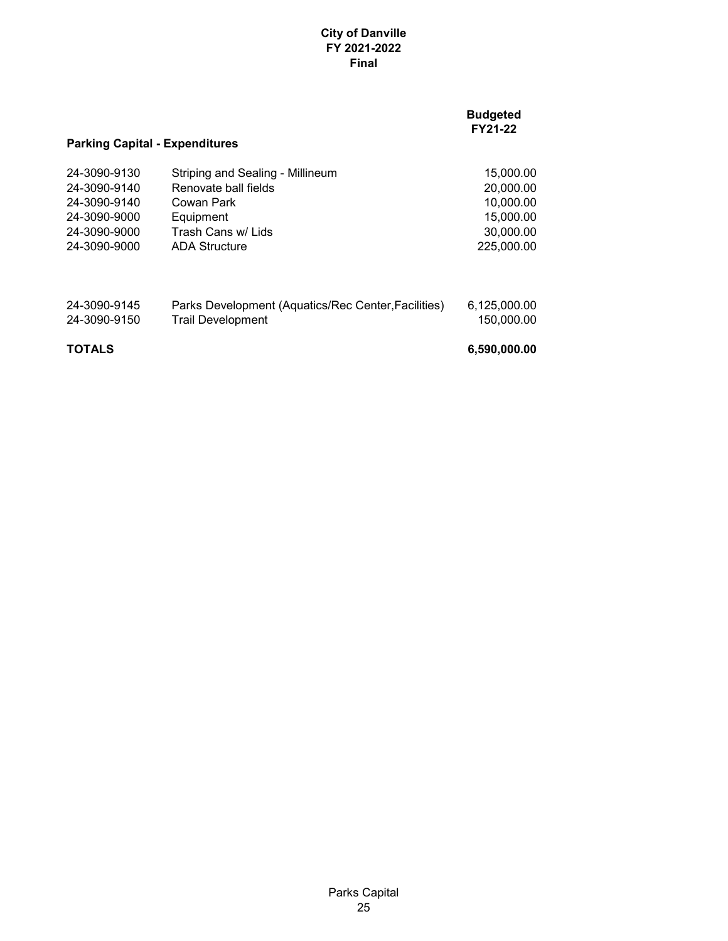|                                       |                                                     | <b>Budgeted</b><br>FY21-22 |
|---------------------------------------|-----------------------------------------------------|----------------------------|
| <b>Parking Capital - Expenditures</b> |                                                     |                            |
| 24-3090-9130                          | Striping and Sealing - Millineum                    | 15,000.00                  |
| 24-3090-9140                          | Renovate ball fields                                | 20,000.00                  |
| 24-3090-9140                          | Cowan Park                                          | 10,000.00                  |
| 24-3090-9000                          | Equipment                                           | 15,000.00                  |
| 24-3090-9000                          | Trash Cans w/ Lids                                  | 30,000.00                  |
| 24-3090-9000                          | <b>ADA Structure</b>                                | 225,000,00                 |
| 24-3090-9145                          | Parks Development (Aquatics/Rec Center, Facilities) | 6,125,000.00               |
| 24-3090-9150                          | <b>Trail Development</b>                            | 150.000.00                 |
| <b>TOTALS</b>                         |                                                     | 6,590,000.00               |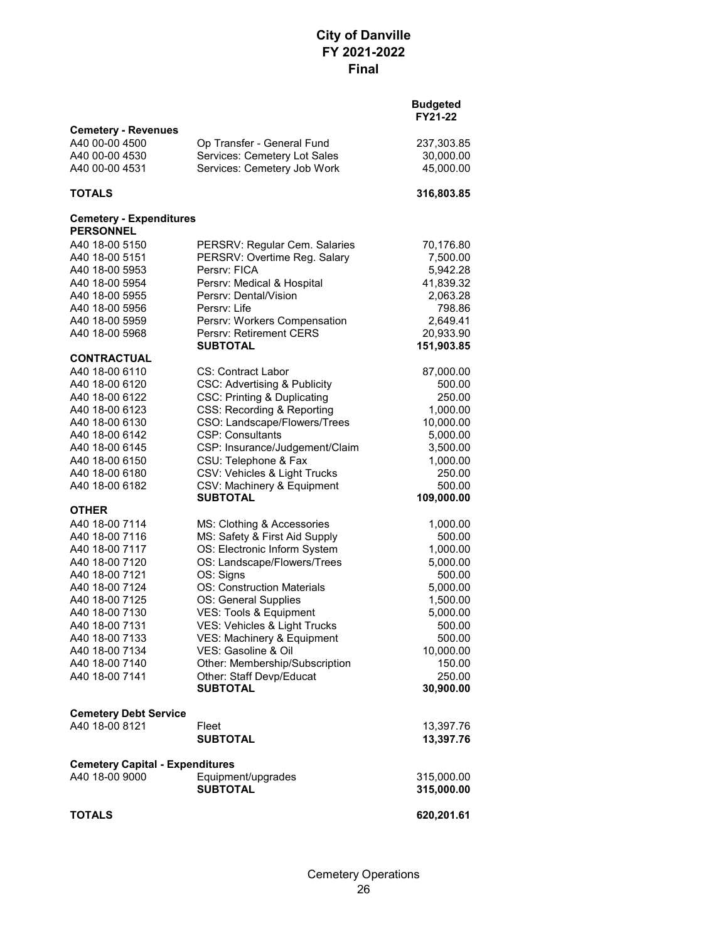| <b>Cemetery - Revenues</b>                         |                                                         |                      |
|----------------------------------------------------|---------------------------------------------------------|----------------------|
| A40 00-00 4500                                     | Op Transfer - General Fund                              | 237,303.85           |
| A40 00-00 4530                                     | Services: Cemetery Lot Sales                            | 30,000.00            |
| A40 00-00 4531                                     | Services: Cemetery Job Work                             | 45,000.00            |
| <b>TOTALS</b>                                      |                                                         | 316,803.85           |
| <b>Cemetery - Expenditures</b><br><b>PERSONNEL</b> |                                                         |                      |
| A40 18-00 5150                                     | PERSRV: Regular Cem. Salaries                           | 70,176.80            |
| A40 18-00 5151                                     | PERSRV: Overtime Reg. Salary                            | 7,500.00             |
| A40 18-00 5953                                     | Persrv: FICA                                            | 5,942.28             |
| A40 18-00 5954                                     | Persrv: Medical & Hospital                              | 41,839.32            |
| A40 18-00 5955                                     | Persry: Dental/Vision                                   | 2,063.28             |
| A40 18-00 5956                                     | Persry: Life                                            | 798.86               |
| A40 18-00 5959                                     | Persrv: Workers Compensation                            | 2,649.41             |
| A40 18-00 5968                                     | Persrv: Retirement CERS                                 | 20,933.90            |
|                                                    | <b>SUBTOTAL</b>                                         | 151,903.85           |
| <b>CONTRACTUAL</b>                                 |                                                         |                      |
| A40 18-00 6110                                     | <b>CS: Contract Labor</b>                               | 87,000.00            |
| A40 18-00 6120                                     | <b>CSC: Advertising &amp; Publicity</b>                 | 500.00               |
| A40 18-00 6122                                     | <b>CSC: Printing &amp; Duplicating</b>                  | 250.00               |
| A40 18-00 6123                                     | CSS: Recording & Reporting                              | 1,000.00             |
| A40 18-00 6130<br>A40 18-00 6142                   | CSO: Landscape/Flowers/Trees<br><b>CSP: Consultants</b> | 10,000.00            |
| A40 18-00 6145                                     | CSP: Insurance/Judgement/Claim                          | 5,000.00<br>3,500.00 |
| A40 18-00 6150                                     | CSU: Telephone & Fax                                    | 1,000.00             |
| A40 18-00 6180                                     | CSV: Vehicles & Light Trucks                            | 250.00               |
| A40 18-00 6182                                     | CSV: Machinery & Equipment                              | 500.00               |
|                                                    | <b>SUBTOTAL</b>                                         | 109,000.00           |
| <b>OTHER</b>                                       |                                                         |                      |
| A40 18-00 7114                                     | MS: Clothing & Accessories                              | 1,000.00             |
| A40 18-00 7116                                     | MS: Safety & First Aid Supply                           | 500.00               |
| A40 18-00 7117                                     | OS: Electronic Inform System                            | 1,000.00             |
| A40 18-00 7120                                     | OS: Landscape/Flowers/Trees                             | 5,000.00             |
| A40 18-00 7121                                     | OS: Signs                                               | 500.00               |
| A40 18-00 7124                                     | <b>OS: Construction Materials</b>                       | 5,000.00             |
| A40 18-00 7125<br>A40 18-00 7130                   | OS: General Supplies                                    | 1,500.00             |
| A40 18-00 7131                                     | VES: Tools & Equipment<br>VES: Vehicles & Light Trucks  | 5,000.00<br>500.00   |
| A40 18-00 7133                                     | VES: Machinery & Equipment                              | 500.00               |
| A40 18-00 7134                                     | VES: Gasoline & Oil                                     | 10,000.00            |
| A40 18-00 7140                                     | Other: Membership/Subscription                          | 150.00               |
| A40 18-00 7141                                     | Other: Staff Devp/Educat                                | 250.00               |
|                                                    | <b>SUBTOTAL</b>                                         | 30,900.00            |
| <b>Cemetery Debt Service</b>                       |                                                         |                      |
| A40 18-00 8121                                     | Fleet                                                   | 13,397.76            |
|                                                    | <b>SUBTOTAL</b>                                         | 13,397.76            |
| <b>Cemetery Capital - Expenditures</b>             |                                                         |                      |
| A40 18-00 9000                                     | Equipment/upgrades                                      | 315,000.00           |
|                                                    | <b>SUBTOTAL</b>                                         | 315,000.00           |
| <b>TOTALS</b>                                      |                                                         | 620,201.61           |
|                                                    |                                                         |                      |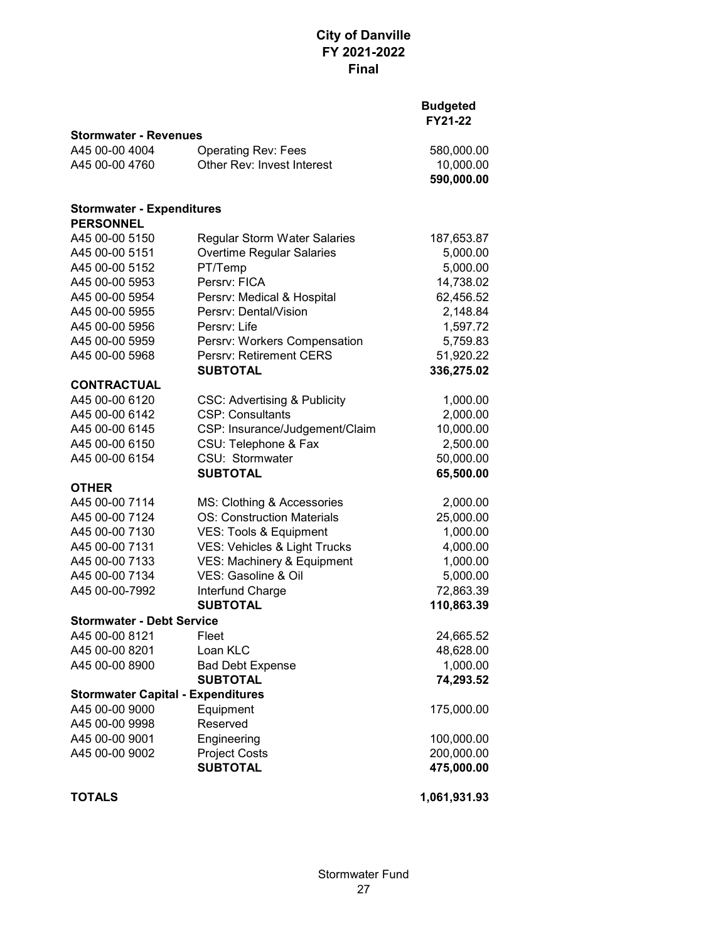| <b>Stormwater - Revenues</b>             |                                         |              |
|------------------------------------------|-----------------------------------------|--------------|
| A45 00-00 4004                           | <b>Operating Rev: Fees</b>              | 580,000.00   |
| A45 00-00 4760                           | Other Rev: Invest Interest              | 10,000.00    |
|                                          |                                         | 590,000.00   |
| <b>Stormwater - Expenditures</b>         |                                         |              |
| <b>PERSONNEL</b>                         |                                         |              |
| A45 00-00 5150                           | Regular Storm Water Salaries            | 187,653.87   |
| A45 00-00 5151                           | Overtime Regular Salaries               | 5,000.00     |
| A45 00-00 5152                           | PT/Temp                                 | 5,000.00     |
| A45 00-00 5953                           | Persrv: FICA                            | 14,738.02    |
| A45 00-00 5954                           | Persrv: Medical & Hospital              | 62,456.52    |
| A45 00-00 5955                           | Persrv: Dental/Vision                   | 2,148.84     |
| A45 00-00 5956                           | Persrv: Life                            | 1,597.72     |
| A45 00-00 5959                           | Persrv: Workers Compensation            | 5,759.83     |
| A45 00-00 5968                           | Persrv: Retirement CERS                 | 51,920.22    |
|                                          | <b>SUBTOTAL</b>                         | 336,275.02   |
| <b>CONTRACTUAL</b>                       |                                         |              |
| A45 00-00 6120                           | <b>CSC: Advertising &amp; Publicity</b> | 1,000.00     |
| A45 00-00 6142                           | <b>CSP: Consultants</b>                 | 2,000.00     |
| A45 00-00 6145                           | CSP: Insurance/Judgement/Claim          | 10,000.00    |
| A45 00-00 6150                           | CSU: Telephone & Fax                    | 2,500.00     |
| A45 00-00 6154                           | CSU: Stormwater                         | 50,000.00    |
|                                          | <b>SUBTOTAL</b>                         | 65,500.00    |
| <b>OTHER</b>                             |                                         |              |
| A45 00-00 7114                           | MS: Clothing & Accessories              | 2,000.00     |
| A45 00-00 7124                           | <b>OS: Construction Materials</b>       | 25,000.00    |
| A45 00-00 7130                           | VES: Tools & Equipment                  | 1,000.00     |
| A45 00-00 7131                           | VES: Vehicles & Light Trucks            | 4,000.00     |
| A45 00-00 7133                           | VES: Machinery & Equipment              | 1,000.00     |
| A45 00-00 7134                           | VES: Gasoline & Oil                     | 5,000.00     |
| A45 00-00-7992                           | Interfund Charge                        | 72,863.39    |
|                                          | <b>SUBTOTAL</b>                         | 110,863.39   |
| <b>Stormwater - Debt Service</b>         |                                         |              |
| A45 00-00 8121                           | Fleet                                   | 24,665.52    |
| A45 00-00 8201                           | Loan KLC                                | 48,628.00    |
| A45 00-00 8900                           | <b>Bad Debt Expense</b>                 | 1,000.00     |
|                                          | <b>SUBTOTAL</b>                         | 74,293.52    |
| <b>Stormwater Capital - Expenditures</b> |                                         |              |
| A45 00-00 9000                           | Equipment                               | 175,000.00   |
| A45 00-00 9998                           | Reserved                                |              |
| A45 00-00 9001                           | Engineering                             | 100,000.00   |
| A45 00-00 9002                           | <b>Project Costs</b>                    | 200,000.00   |
|                                          | <b>SUBTOTAL</b>                         | 475,000.00   |
| <b>TOTALS</b>                            |                                         | 1,061,931.93 |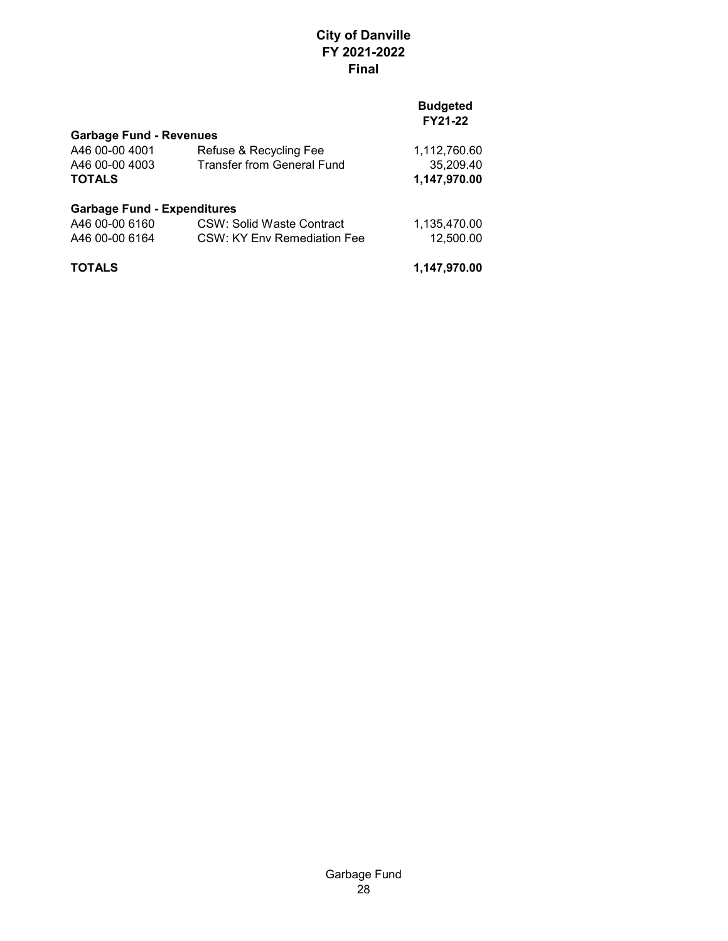### **Budgeted FY21-22**

| <b>Garbage Fund - Revenues</b> |                            |              |
|--------------------------------|----------------------------|--------------|
| A46 00-00 4001                 | Refuse & Recycling Fee     | 1,112,760.60 |
| A46 00-00 4003                 | Transfer from General Fund | 35,209.40    |
| <b>TOTALS</b>                  |                            | 1,147,970.00 |
|                                |                            |              |

#### **Garbage Fund - Expenditures**

| A46 00-00 6160 | CSW: Solid Waste Contract   | 1,135,470.00 |
|----------------|-----------------------------|--------------|
| A46 00-00 6164 | CSW: KY Env Remediation Fee | 12.500.00    |
|                |                             |              |

**TOTALS 1,147,970.00**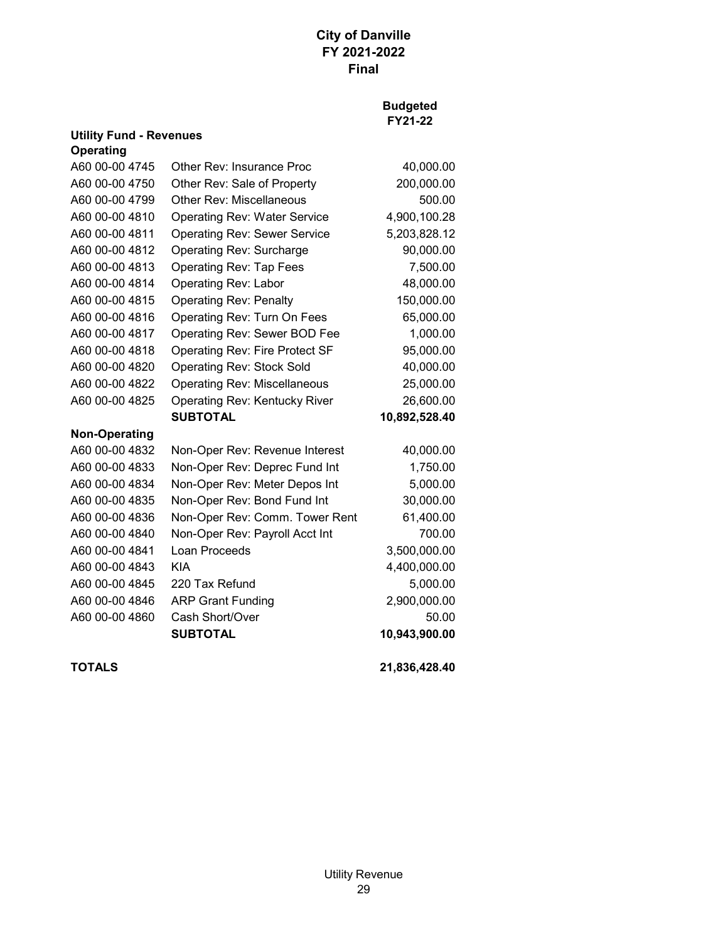## **Budgeted FY21-22**

|                      | <b>Utility Fund - Revenues</b>        |               |  |  |
|----------------------|---------------------------------------|---------------|--|--|
| <b>Operating</b>     |                                       |               |  |  |
| A60 00-00 4745       | Other Rev: Insurance Proc             | 40,000.00     |  |  |
| A60 00-00 4750       | Other Rev: Sale of Property           | 200,000.00    |  |  |
| A60 00-00 4799       | Other Rev: Miscellaneous              | 500.00        |  |  |
| A60 00-00 4810       | <b>Operating Rev: Water Service</b>   | 4,900,100.28  |  |  |
| A60 00-00 4811       | <b>Operating Rev: Sewer Service</b>   | 5,203,828.12  |  |  |
| A60 00-00 4812       | Operating Rev: Surcharge              | 90,000.00     |  |  |
| A60 00-00 4813       | <b>Operating Rev: Tap Fees</b>        | 7,500.00      |  |  |
| A60 00-00 4814       | <b>Operating Rev: Labor</b>           | 48,000.00     |  |  |
| A60 00-00 4815       | <b>Operating Rev: Penalty</b>         | 150,000.00    |  |  |
| A60 00-00 4816       | Operating Rev: Turn On Fees           | 65,000.00     |  |  |
| A60 00-00 4817       | Operating Rev: Sewer BOD Fee          | 1,000.00      |  |  |
| A60 00-00 4818       | <b>Operating Rev: Fire Protect SF</b> | 95,000.00     |  |  |
| A60 00-00 4820       | <b>Operating Rev: Stock Sold</b>      | 40,000.00     |  |  |
| A60 00-00 4822       | <b>Operating Rev: Miscellaneous</b>   | 25,000.00     |  |  |
| A60 00-00 4825       | <b>Operating Rev: Kentucky River</b>  | 26,600.00     |  |  |
|                      | <b>SUBTOTAL</b>                       | 10,892,528.40 |  |  |
| <b>Non-Operating</b> |                                       |               |  |  |
| A60 00-00 4832       | Non-Oper Rev: Revenue Interest        | 40,000.00     |  |  |
| A60 00-00 4833       | Non-Oper Rev: Deprec Fund Int         | 1,750.00      |  |  |
| A60 00-00 4834       | Non-Oper Rev: Meter Depos Int         | 5,000.00      |  |  |
| A60 00-00 4835       | Non-Oper Rev: Bond Fund Int           | 30,000.00     |  |  |
| A60 00-00 4836       | Non-Oper Rev: Comm. Tower Rent        | 61,400.00     |  |  |
| A60 00-00 4840       | Non-Oper Rev: Payroll Acct Int        | 700.00        |  |  |
| A60 00-00 4841       | Loan Proceeds                         | 3,500,000.00  |  |  |
| A60 00-00 4843       | <b>KIA</b>                            | 4,400,000.00  |  |  |
| A60 00-00 4845       | 220 Tax Refund                        | 5,000.00      |  |  |
| A60 00-00 4846       | <b>ARP Grant Funding</b>              | 2,900,000.00  |  |  |
| A60 00-00 4860       | Cash Short/Over                       | 50.00         |  |  |
|                      | <b>SUBTOTAL</b>                       | 10,943,900.00 |  |  |
|                      |                                       |               |  |  |

**TOTALS 21,836,428.40**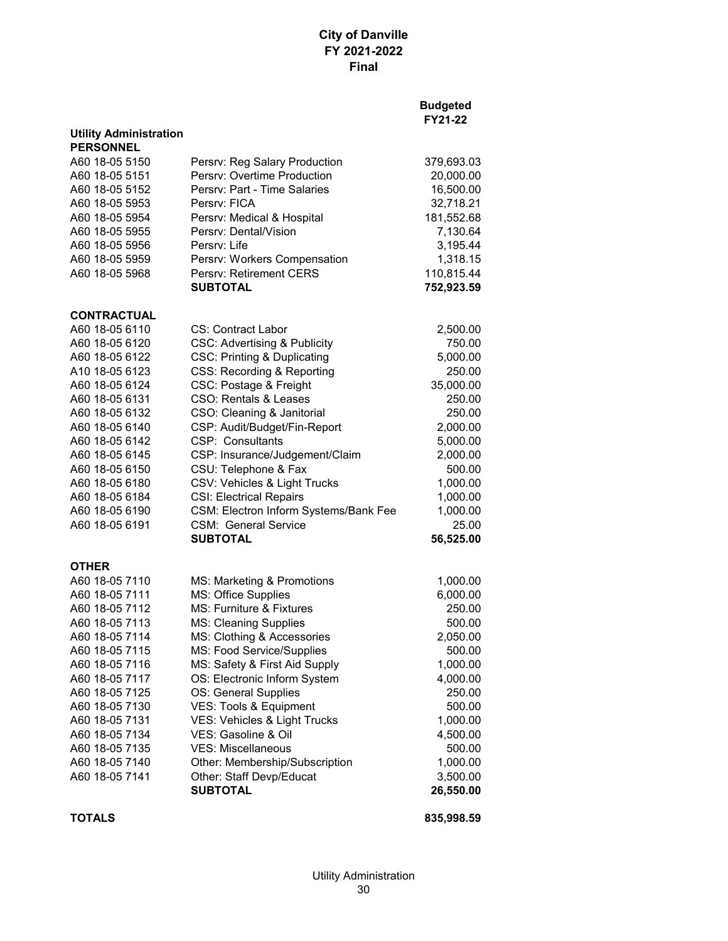#### **Budgeted FY21-22**

| <b>Utility Administration</b> |                                         |            |
|-------------------------------|-----------------------------------------|------------|
| <b>PERSONNEL</b>              |                                         |            |
| A60 18-05 5150                | Persrv: Reg Salary Production           | 379,693.03 |
| A60 18-05 5151                | Persrv: Overtime Production             | 20,000.00  |
| A60 18-05 5152                | Persry: Part - Time Salaries            | 16,500.00  |
| A60 18-05 5953                | Persry: FICA                            | 32,718.21  |
| A60 18-05 5954                | Persrv: Medical & Hospital              | 181,552.68 |
| A60 18-05 5955                | Persry: Dental/Vision                   | 7,130.64   |
| A60 18-05 5956                | Persrv: Life                            | 3,195.44   |
| A60 18-05 5959                | Persrv: Workers Compensation            | 1,318.15   |
| A60 18-05 5968                | Persrv: Retirement CERS                 | 110,815.44 |
|                               | <b>SUBTOTAL</b>                         | 752,923.59 |
| <b>CONTRACTUAL</b>            |                                         |            |
| A60 18-05 6110                | <b>CS: Contract Labor</b>               | 2,500.00   |
| A60 18-05 6120                | <b>CSC: Advertising &amp; Publicity</b> | 750.00     |
| A60 18-05 6122                | <b>CSC: Printing &amp; Duplicating</b>  | 5,000.00   |
| A10 18-05 6123                | CSS: Recording & Reporting              | 250.00     |
| A60 18-05 6124                | CSC: Postage & Freight                  | 35,000.00  |
| A60 18-05 6131                | CSO: Rentals & Leases                   | 250.00     |
| A60 18-05 6132                | CSO: Cleaning & Janitorial              | 250.00     |
| A60 18-05 6140                | CSP: Audit/Budget/Fin-Report            | 2,000.00   |
| A60 18-05 6142                | CSP: Consultants                        | 5,000.00   |
| A60 18-05 6145                | CSP: Insurance/Judgement/Claim          | 2,000.00   |
| A60 18-05 6150                | CSU: Telephone & Fax                    | 500.00     |
| A60 18-05 6180                | CSV: Vehicles & Light Trucks            | 1,000.00   |
| A60 18-05 6184                | <b>CSI: Electrical Repairs</b>          | 1,000.00   |
| A60 18-05 6190                | CSM: Electron Inform Systems/Bank Fee   | 1,000.00   |
| A60 18-05 6191                | <b>CSM: General Service</b>             | 25.00      |
|                               | <b>SUBTOTAL</b>                         | 56,525.00  |
| <b>OTHER</b>                  |                                         |            |
| A60 18-05 7110                | MS: Marketing & Promotions              | 1,000.00   |
| A60 18-05 7111                | MS: Office Supplies                     | 6,000.00   |
| A60 18-05 7112                | MS: Furniture & Fixtures                | 250.00     |
| A60 18-05 7113                | <b>MS: Cleaning Supplies</b>            | 500.00     |
| A60 18-05 7114                | MS: Clothing & Accessories              | 2,050.00   |
| A60 18-05 7115                | MS: Food Service/Supplies               | 500.00     |
| A60 18-05 7116                | MS: Safety & First Aid Supply           | 1,000.00   |
| A60 18-05 7117                | OS: Electronic Inform System            | 4,000.00   |
| A60 18-05 7125                | OS: General Supplies                    | 250.00     |
| A60 18-05 7130                | VES: Tools & Equipment                  | 500.00     |
| A60 18-05 7131                | VES: Vehicles & Light Trucks            | 1,000.00   |
| A60 18-05 7134                | VES: Gasoline & Oil                     | 4,500.00   |
| A60 18-05 7135                | <b>VES: Miscellaneous</b>               | 500.00     |
| A60 18-05 7140                | Other: Membership/Subscription          | 1,000.00   |
| A60 18-05 7141                | Other: Staff Devp/Educat                | 3,500.00   |
|                               | <b>SUBTOTAL</b>                         | 26,550.00  |

**TOTALS 835,998.59**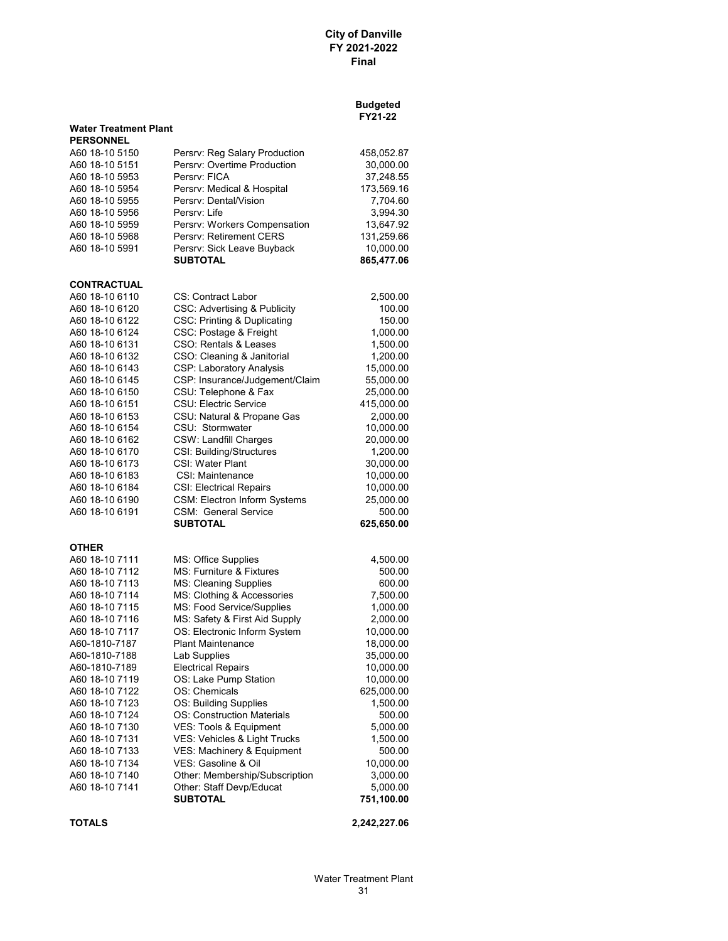|                                  |                                                         | <b>Budgeted</b><br>FY21-22 |
|----------------------------------|---------------------------------------------------------|----------------------------|
| <b>Water Treatment Plant</b>     |                                                         |                            |
| <b>PERSONNEL</b>                 |                                                         |                            |
| A60 18-10 5150                   | Persrv: Reg Salary Production                           | 458,052.87                 |
| A60 18-10 5151                   | Persrv: Overtime Production                             | 30,000.00                  |
| A60 18-10 5953                   | Persry: FICA                                            | 37,248.55                  |
| A60 18-10 5954                   | Persrv: Medical & Hospital                              | 173,569.16                 |
| A60 18-10 5955                   | Persrv: Dental/Vision                                   | 7,704.60                   |
| A60 18-10 5956                   | Persry: Life                                            | 3,994.30                   |
| A60 18-10 5959                   | Persrv: Workers Compensation<br>Persrv: Retirement CERS | 13,647.92                  |
| A60 18-10 5968<br>A60 18-10 5991 | Persrv: Sick Leave Buyback                              | 131,259.66                 |
|                                  | <b>SUBTOTAL</b>                                         | 10,000.00<br>865,477.06    |
| <b>CONTRACTUAL</b>               |                                                         |                            |
| A60 18-10 6110                   | CS: Contract Labor                                      | 2,500.00                   |
| A60 18-10 6120                   | CSC: Advertising & Publicity                            | 100.00                     |
| A60 18-10 6122                   | <b>CSC: Printing &amp; Duplicating</b>                  | 150.00                     |
| A60 18-10 6124                   | CSC: Postage & Freight                                  | 1,000.00                   |
| A60 18-10 6131                   | CSO: Rentals & Leases                                   | 1,500.00                   |
| A60 18-10 6132                   | CSO: Cleaning & Janitorial                              | 1,200.00                   |
| A60 18-10 6143                   | <b>CSP: Laboratory Analysis</b>                         | 15,000.00                  |
| A60 18-10 6145                   | CSP: Insurance/Judgement/Claim                          | 55,000.00                  |
| A60 18-10 6150                   | CSU: Telephone & Fax                                    | 25,000.00                  |
| A60 18-10 6151                   | CSU: Electric Service                                   | 415,000.00                 |
| A60 18-10 6153                   | CSU: Natural & Propane Gas                              | 2,000.00                   |
| A60 18-10 6154                   | CSU: Stormwater                                         | 10,000.00                  |
| A60 18-10 6162                   | <b>CSW: Landfill Charges</b>                            | 20,000.00                  |
| A60 18-10 6170                   | CSI: Building/Structures                                | 1,200.00                   |
| A60 18-10 6173                   | CSI: Water Plant                                        | 30,000.00                  |
| A60 18-10 6183                   | CSI: Maintenance                                        | 10,000.00                  |
| A60 18-10 6184                   | <b>CSI: Electrical Repairs</b>                          | 10,000.00                  |
| A60 18-10 6190                   | CSM: Electron Inform Systems                            | 25,000.00                  |
| A60 18-10 6191                   | <b>CSM: General Service</b>                             | 500.00                     |
|                                  | <b>SUBTOTAL</b>                                         | 625,650.00                 |
| <b>OTHER</b><br>A60 18-10 7111   | MS: Office Supplies                                     | 4,500.00                   |
| A60 18-10 7112                   | MS: Furniture & Fixtures                                | 500.00                     |
| A60 18-10 7113                   | MS: Cleaning Supplies                                   | 600.00                     |
| A60 18-10 7114                   | MS: Clothing & Accessories                              | 7,500.00                   |
| A60 18-10 7115                   | MS: Food Service/Supplies                               | 1,000.00                   |
| A60 18-10 7116                   | MS: Safety & First Aid Supply                           | 2,000.00                   |
| A60 18-10 7117                   | OS: Electronic Inform System                            | 10,000.00                  |
| A60-1810-7187                    | <b>Plant Maintenance</b>                                | 18,000.00                  |
| A60-1810-7188                    | Lab Supplies                                            | 35,000.00                  |
| A60-1810-7189                    | <b>Electrical Repairs</b>                               | 10,000.00                  |
| A60 18-10 7119                   | OS: Lake Pump Station                                   | 10,000.00                  |
| A60 18-10 7122                   | OS: Chemicals                                           | 625,000.00                 |
| A60 18-10 7123                   | OS: Building Supplies                                   | 1,500.00                   |
| A60 18-10 7124                   | <b>OS: Construction Materials</b>                       | 500.00                     |
| A60 18-10 7130                   | VES: Tools & Equipment                                  | 5,000.00                   |
| A60 18-10 7131                   | VES: Vehicles & Light Trucks                            | 1,500.00                   |
| A60 18-10 7133                   | VES: Machinery & Equipment                              | 500.00                     |
| A60 18-10 7134                   | VES: Gasoline & Oil                                     | 10,000.00                  |
| A60 18-10 7140                   | Other: Membership/Subscription                          | 3,000.00                   |
| A60 18-10 7141                   | Other: Staff Devp/Educat                                | 5,000.00                   |
|                                  | <b>SUBTOTAL</b>                                         | 751,100.00                 |
|                                  |                                                         |                            |

**TOTALS 2,242,227.06**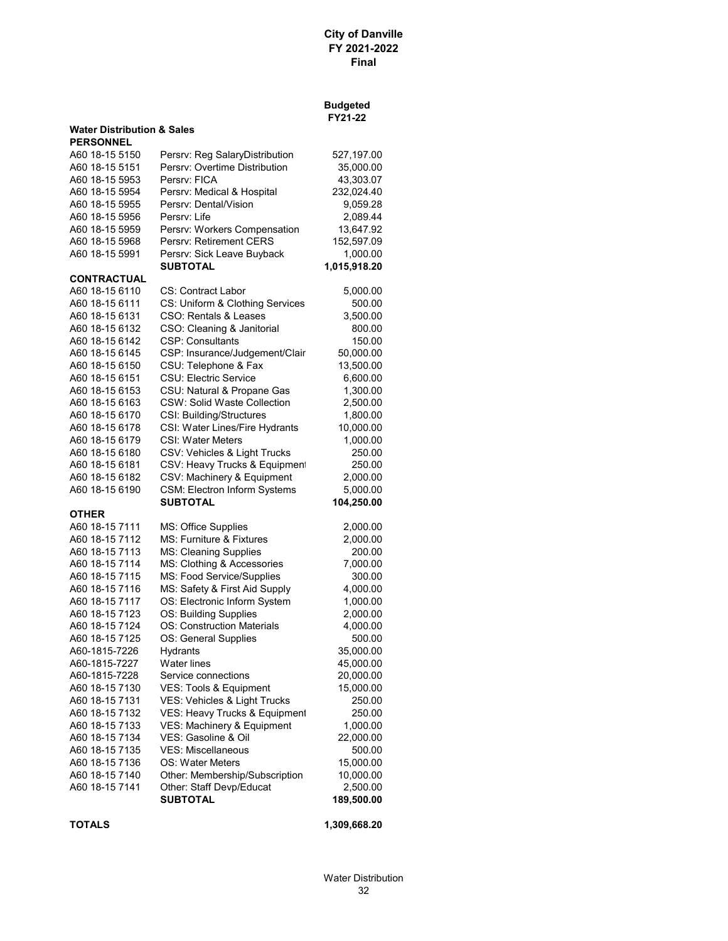#### **Budgeted FY21-22**

| <b>Water Distribution &amp; Sales</b><br><b>PERSONNEL</b> |                                    |              |
|-----------------------------------------------------------|------------------------------------|--------------|
| A60 18-15 5150                                            | Persrv: Reg SalaryDistribution     | 527,197.00   |
| A60 18-15 5151                                            | Persrv: Overtime Distribution      | 35,000.00    |
| A60 18-15 5953                                            | Persry: FICA                       | 43,303.07    |
| A60 18-15 5954                                            | Persrv: Medical & Hospital         | 232,024.40   |
| A60 18-15 5955                                            | Persrv: Dental/Vision              | 9,059.28     |
| A60 18-15 5956                                            | Persry: Life                       | 2,089.44     |
| A60 18-15 5959                                            | Persrv: Workers Compensation       | 13,647.92    |
| A60 18-15 5968                                            | Persrv: Retirement CERS            | 152,597.09   |
| A60 18-15 5991                                            | Persrv: Sick Leave Buyback         | 1,000.00     |
|                                                           | <b>SUBTOTAL</b>                    | 1,015,918.20 |
| <b>CONTRACTUAL</b>                                        |                                    |              |
| A60 18-15 6110                                            | CS: Contract Labor                 | 5,000.00     |
| A60 18-15 6111                                            | CS: Uniform & Clothing Services    | 500.00       |
| A60 18-15 6131                                            | CSO: Rentals & Leases              | 3,500.00     |
| A60 18-15 6132                                            | CSO: Cleaning & Janitorial         | 800.00       |
| A60 18-15 6142                                            | <b>CSP: Consultants</b>            | 150.00       |
| A60 18-15 6145                                            | CSP: Insurance/Judgement/Clair     | 50,000.00    |
| A60 18-15 6150                                            | CSU: Telephone & Fax               | 13,500.00    |
| A60 18-15 6151                                            | <b>CSU: Electric Service</b>       | 6,600.00     |
| A60 18-15 6153                                            | CSU: Natural & Propane Gas         | 1,300.00     |
| A60 18-15 6163                                            | <b>CSW: Solid Waste Collection</b> | 2,500.00     |
| A60 18-15 6170                                            | CSI: Building/Structures           | 1,800.00     |
| A60 18-15 6178                                            | CSI: Water Lines/Fire Hydrants     | 10,000.00    |
| A60 18-15 6179                                            | <b>CSI: Water Meters</b>           | 1,000.00     |
| A60 18-15 6180                                            | CSV: Vehicles & Light Trucks       | 250.00       |
| A60 18-15 6181                                            | CSV: Heavy Trucks & Equipmen       | 250.00       |
| A60 18-15 6182                                            | CSV: Machinery & Equipment         | 2,000.00     |
| A60 18-15 6190                                            | CSM: Electron Inform Systems       | 5,000.00     |
|                                                           | SUBTOTAL                           | 104,250.00   |
| <b>OTHER</b>                                              |                                    |              |
| A60 18-15 7111                                            | MS: Office Supplies                | 2,000.00     |
| A60 18-15 7112                                            | MS: Furniture & Fixtures           | 2,000.00     |
| A60 18-15 7113                                            | <b>MS: Cleaning Supplies</b>       | 200.00       |
| A60 18-15 7114                                            | MS: Clothing & Accessories         | 7,000.00     |
| A60 18-15 7115                                            | MS: Food Service/Supplies          | 300.00       |
| A60 18-15 7116                                            | MS: Safety & First Aid Supply      | 4,000.00     |
| A60 18-15 7117                                            | OS: Electronic Inform System       | 1,000.00     |
| A60 18-15 7123                                            | OS: Building Supplies              | 2,000.00     |
| A60 18-15 7124                                            | <b>OS: Construction Materials</b>  | 4,000.00     |
| A60 18-15 7125                                            | OS: General Supplies               | 500.00       |
| A60-1815-7226                                             | Hydrants                           | 35,000.00    |
| A60-1815-7227                                             | <b>Water lines</b>                 | 45,000.00    |
| A60-1815-7228                                             | Service connections                | 20,000.00    |
| A60 18-15 7130                                            | VES: Tools & Equipment             | 15,000.00    |
| A60 18-15 7131                                            | VES: Vehicles & Light Trucks       | 250.00       |
| A60 18-15 7132                                            | VES: Heavy Trucks & Equipment      | 250.00       |
| A60 18-15 7133                                            | VES: Machinery & Equipment         | 1,000.00     |
| A60 18-15 7134                                            | VES: Gasoline & Oil                | 22,000.00    |
| A60 18-15 7135                                            | <b>VES: Miscellaneous</b>          | 500.00       |
| A60 18-15 7136                                            | OS: Water Meters                   | 15,000.00    |
| A60 18-15 7140                                            | Other: Membership/Subscription     | 10,000.00    |
| A60 18-15 7141                                            | Other: Staff Devp/Educat           | 2,500.00     |
|                                                           | <b>SUBTOTAL</b>                    | 189,500.00   |
|                                                           |                                    |              |

**TOTALS 1,309,668.20**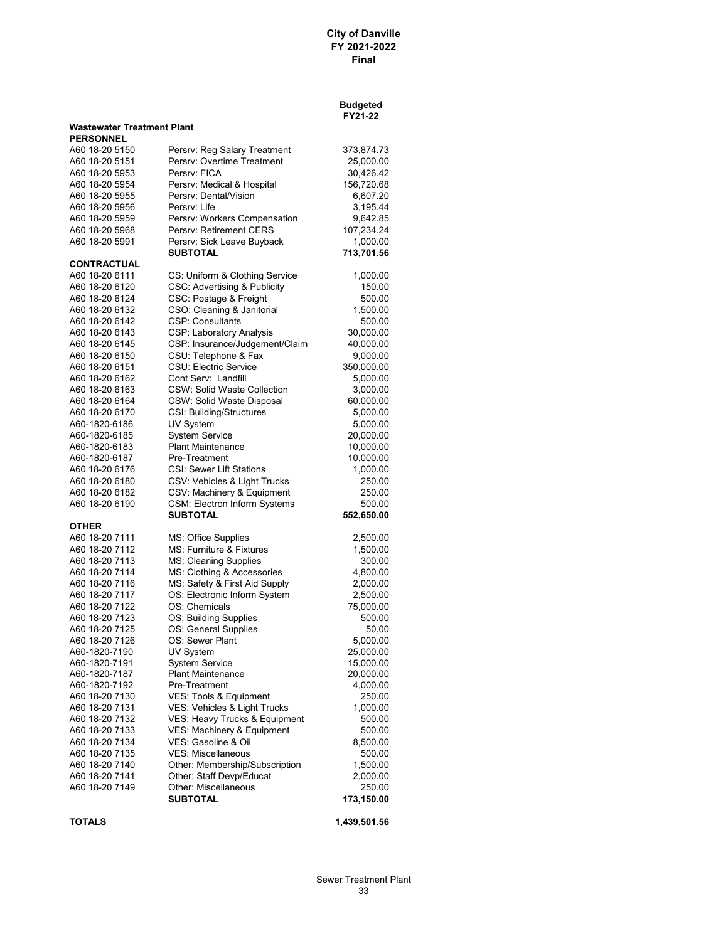#### **Budgeted FY21-22**

| Wastewater Treatment Plant |  |  |
|----------------------------|--|--|
|----------------------------|--|--|

| <b>PERSONNEL</b>   |                                    |            |
|--------------------|------------------------------------|------------|
| A60 18-20 5150     | Persrv: Reg Salary Treatment       | 373,874.73 |
| A60 18-20 5151     | Persry: Overtime Treatment         | 25,000.00  |
| A60 18-20 5953     | Persry: FICA                       | 30,426.42  |
| A60 18-20 5954     | Persrv: Medical & Hospital         | 156,720.68 |
| A60 18-20 5955     | Persrv: Dental/Vision              | 6,607.20   |
| A60 18-20 5956     | Persry: Life                       | 3,195.44   |
| A60 18-20 5959     | Persrv: Workers Compensation       | 9,642.85   |
| A60 18-20 5968     | Persry: Retirement CERS            | 107,234.24 |
| A60 18-20 5991     | Persrv: Sick Leave Buyback         | 1,000.00   |
|                    | SUBTOTAL                           | 713,701.56 |
| <b>CONTRACTUAL</b> |                                    |            |
| A60 18-20 6111     | CS: Uniform & Clothing Service     | 1,000.00   |
| A60 18-20 6120     | CSC: Advertising & Publicity       | 150.00     |
| A60 18-20 6124     | CSC: Postage & Freight             | 500.00     |
| A60 18-20 6132     | CSO: Cleaning & Janitorial         | 1,500.00   |
| A60 18-20 6142     | <b>CSP: Consultants</b>            | 500.00     |
| A60 18-20 6143     | <b>CSP: Laboratory Analysis</b>    | 30,000.00  |
| A60 18-20 6145     | CSP: Insurance/Judgement/Claim     | 40,000.00  |
| A60 18-20 6150     | CSU: Telephone & Fax               | 9,000.00   |
| A60 18-20 6151     | <b>CSU: Electric Service</b>       | 350,000.00 |
| A60 18-20 6162     | Cont Serv: Landfill                | 5,000.00   |
| A60 18-20 6163     | <b>CSW: Solid Waste Collection</b> | 3,000.00   |
| A60 18-20 6164     | <b>CSW: Solid Waste Disposal</b>   | 60,000.00  |
| A60 18-20 6170     | CSI: Building/Structures           | 5,000.00   |
| A60-1820-6186      | UV System                          | 5,000.00   |
| A60-1820-6185      | <b>System Service</b>              | 20,000.00  |
| A60-1820-6183      | <b>Plant Maintenance</b>           | 10,000.00  |
| A60-1820-6187      | Pre-Treatment                      | 10,000.00  |
| A60 18-20 6176     | <b>CSI: Sewer Lift Stations</b>    | 1,000.00   |
| A60 18-20 6180     | CSV: Vehicles & Light Trucks       | 250.00     |
| A60 18-20 6182     | CSV: Machinery & Equipment         | 250.00     |
| A60 18-20 6190     | CSM: Electron Inform Systems       | 500.00     |
| OTHER              | <b>SUBTOTAL</b>                    | 552,650.00 |
| A60 18-20 7111     | MS: Office Supplies                | 2,500.00   |
| A60 18-20 7112     | MS: Furniture & Fixtures           | 1,500.00   |
| A60 18-20 7113     | MS: Cleaning Supplies              | 300.00     |
| A60 18-20 7114     | MS: Clothing & Accessories         | 4,800.00   |
| A60 18-20 7116     | MS: Safety & First Aid Supply      | 2,000.00   |
| A60 18-20 7117     | OS: Electronic Inform System       | 2,500.00   |
| A60 18-20 7122     | OS: Chemicals                      | 75,000.00  |
| A60 18-20 7123     | OS: Building Supplies              | 500.00     |
| A60 18-20 7125     | OS: General Supplies               | 50.00      |
| A60 18-20 7126     | OS: Sewer Plant                    | 5,000.00   |
| A60-1820-7190      | UV System                          | 25,000.00  |
| A60-1820-7191      | Svstem Service                     | 15,000.00  |
| A60-1820-7187      | <b>Plant Maintenance</b>           | 20,000.00  |
| A60-1820-7192      | Pre-Treatment                      | 4,000.00   |
| A60 18-20 7130     | VES: Tools & Equipment             | 250.00     |
| A60 18-20 7131     | VES: Vehicles & Light Trucks       | 1,000.00   |
| A60 18-20 7132     | VES: Heavy Trucks & Equipment      | 500.00     |
| A60 18-20 7133     | VES: Machinery & Equipment         | 500.00     |
| A60 18-20 7134     | VES: Gasoline & Oil                | 8,500.00   |
| A60 18-20 7135     | <b>VES: Miscellaneous</b>          | 500.00     |
| A60 18-20 7140     | Other: Membership/Subscription     | 1,500.00   |
| A60 18-20 7141     | Other: Staff Devp/Educat           | 2,000.00   |
| A60 18-20 7149     | Other: Miscellaneous               | 250.00     |
|                    | SUBTOTAL                           | 173,150.00 |
|                    |                                    |            |

**TOTALS 1,439,501.56**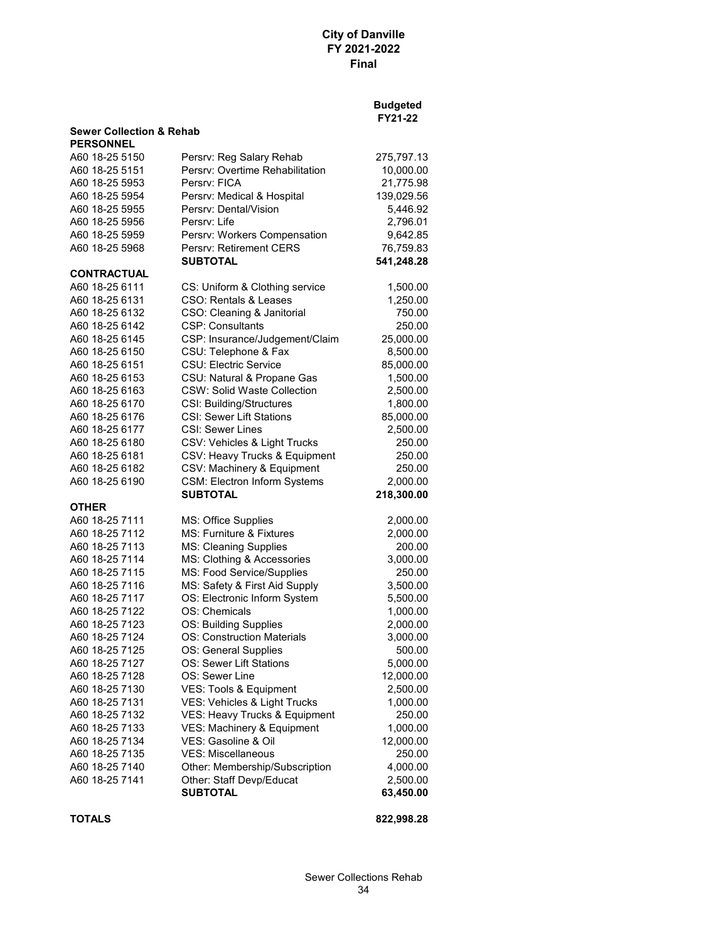|                                     |                                                               | <b>Budgeted</b><br>FY21-22 |
|-------------------------------------|---------------------------------------------------------------|----------------------------|
| <b>Sewer Collection &amp; Rehab</b> |                                                               |                            |
| <b>PERSONNEL</b>                    |                                                               |                            |
| A60 18-25 5150                      | Persrv: Reg Salary Rehab                                      | 275,797.13                 |
| A60 18-25 5151                      | Persry: Overtime Rehabilitation                               | 10,000.00                  |
| A60 18-25 5953                      | Persry: FICA                                                  | 21,775.98                  |
| A60 18-25 5954                      | Persrv: Medical & Hospital                                    | 139,029.56                 |
| A60 18-25 5955                      | Persrv: Dental/Vision                                         | 5,446.92                   |
| A60 18-25 5956                      | Persry: Life                                                  | 2,796.01                   |
| A60 18-25 5959                      | Persrv: Workers Compensation                                  | 9,642.85                   |
| A60 18-25 5968                      | Persrv: Retirement CERS                                       | 76,759.83                  |
|                                     | <b>SUBTOTAL</b>                                               | 541,248.28                 |
| <b>CONTRACTUAL</b>                  |                                                               |                            |
| A60 18-25 6111                      | CS: Uniform & Clothing service                                | 1,500.00                   |
| A60 18-25 6131                      | CSO: Rentals & Leases                                         | 1,250.00                   |
| A60 18-25 6132                      | CSO: Cleaning & Janitorial                                    | 750.00                     |
| A60 18-25 6142                      | <b>CSP: Consultants</b>                                       | 250.00                     |
| A60 18-25 6145                      | CSP: Insurance/Judgement/Claim                                | 25,000.00                  |
| A60 18-25 6150                      | CSU: Telephone & Fax                                          | 8,500.00                   |
| A60 18-25 6151                      | <b>CSU: Electric Service</b>                                  | 85,000.00                  |
| A60 18-25 6153                      | CSU: Natural & Propane Gas                                    | 1,500.00                   |
| A60 18-25 6163                      | <b>CSW: Solid Waste Collection</b>                            | 2,500.00                   |
| A60 18-25 6170                      | CSI: Building/Structures                                      | 1,800.00                   |
| A60 18-25 6176                      | <b>CSI: Sewer Lift Stations</b>                               | 85,000.00                  |
| A60 18-25 6177                      | <b>CSI: Sewer Lines</b>                                       | 2,500.00                   |
| A60 18-25 6180                      | CSV: Vehicles & Light Trucks                                  | 250.00                     |
| A60 18-25 6181                      | CSV: Heavy Trucks & Equipment                                 | 250.00                     |
| A60 18-25 6182                      | CSV: Machinery & Equipment                                    | 250.00                     |
| A60 18-25 6190                      | <b>CSM: Electron Inform Systems</b>                           | 2,000.00                   |
|                                     | <b>SUBTOTAL</b>                                               | 218,300.00                 |
| OTHER                               |                                                               |                            |
| A60 18-25 7111                      | MS: Office Supplies                                           | 2,000.00                   |
| A60 18-25 7112<br>A60 18-25 7113    | MS: Furniture & Fixtures                                      | 2,000.00                   |
| A60 18-25 7114                      | <b>MS: Cleaning Supplies</b>                                  | 200.00                     |
|                                     | MS: Clothing & Accessories                                    | 3,000.00                   |
| A60 18-25 7115<br>A60 18-25 7116    | MS: Food Service/Supplies                                     | 250.00                     |
| A60 18-25 7117                      | MS: Safety & First Aid Supply<br>OS: Electronic Inform System | 3,500.00<br>5,500.00       |
| A60 18-25 7122                      | OS: Chemicals                                                 |                            |
| A60 18-25 7123                      | OS: Building Supplies                                         | 1,000.00<br>2,000.00       |
| A60 18-25 7124                      | <b>OS: Construction Materials</b>                             |                            |
| A60 18-25 7125                      | OS: General Supplies                                          | 3,000.00                   |
| A60 18-25 7127                      | OS: Sewer Lift Stations                                       | 500.00<br>5,000.00         |
| A60 18-25 7128                      | OS: Sewer Line                                                | 12,000.00                  |
| A60 18-25 7130                      | VES: Tools & Equipment                                        | 2,500.00                   |
| A60 18-25 7131                      | VES: Vehicles & Light Trucks                                  | 1,000.00                   |
| A60 18-25 7132                      | VES: Heavy Trucks & Equipment                                 | 250.00                     |
| A60 18-25 7133                      | VES: Machinery & Equipment                                    |                            |
| A60 18-25 7134                      | VES: Gasoline & Oil                                           | 1,000.00<br>12,000.00      |
| A60 18-25 7135                      | <b>VES: Miscellaneous</b>                                     | 250.00                     |
| A60 18-25 7140                      | Other: Membership/Subscription                                | 4,000.00                   |
| A60 18-25 7141                      | Other: Staff Devp/Educat                                      | 2,500.00                   |
|                                     | <b>SUBTOTAL</b>                                               | 63,450.00                  |
|                                     |                                                               |                            |
|                                     |                                                               |                            |

**TOTALS 822,998.28**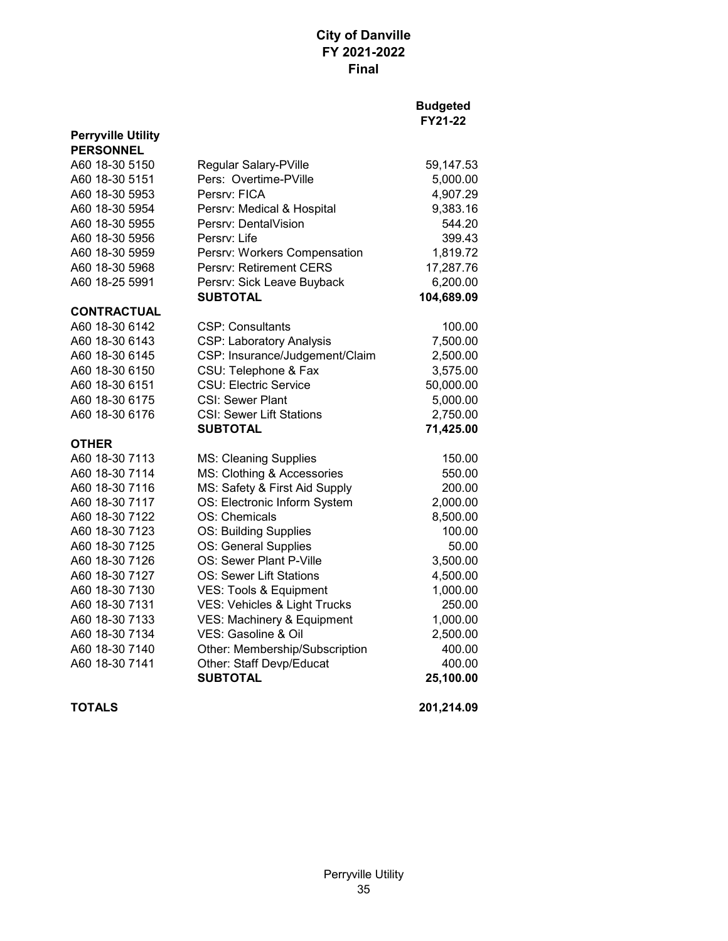| <b>Perryville Utility</b><br><b>PERSONNEL</b> |                                 |            |
|-----------------------------------------------|---------------------------------|------------|
| A60 18-30 5150                                | Regular Salary-PVille           | 59,147.53  |
| A60 18-30 5151                                | Pers: Overtime-PVille           | 5,000.00   |
| A60 18-30 5953                                | Persry: FICA                    | 4,907.29   |
| A60 18-30 5954                                | Persrv: Medical & Hospital      | 9,383.16   |
| A60 18-30 5955                                | Persry: DentalVision            | 544.20     |
| A60 18-30 5956                                | Persrv: Life                    | 399.43     |
| A60 18-30 5959                                | Persrv: Workers Compensation    | 1,819.72   |
| A60 18-30 5968                                | <b>Persry: Retirement CERS</b>  | 17,287.76  |
| A60 18-25 5991                                | Persrv: Sick Leave Buyback      | 6,200.00   |
|                                               | <b>SUBTOTAL</b>                 | 104,689.09 |
| <b>CONTRACTUAL</b>                            |                                 |            |
| A60 18-30 6142                                | <b>CSP: Consultants</b>         | 100.00     |
| A60 18-30 6143                                | <b>CSP: Laboratory Analysis</b> | 7,500.00   |
| A60 18-30 6145                                | CSP: Insurance/Judgement/Claim  | 2,500.00   |
| A60 18-30 6150                                | CSU: Telephone & Fax            | 3,575.00   |
| A60 18-30 6151                                | <b>CSU: Electric Service</b>    | 50,000.00  |
| A60 18-30 6175                                | <b>CSI: Sewer Plant</b>         | 5,000.00   |
| A60 18-30 6176                                | <b>CSI: Sewer Lift Stations</b> | 2,750.00   |
|                                               | <b>SUBTOTAL</b>                 | 71,425.00  |
| <b>OTHER</b>                                  |                                 |            |
| A60 18-30 7113                                | <b>MS: Cleaning Supplies</b>    |            |
|                                               |                                 | 150.00     |
| A60 18-30 7114                                | MS: Clothing & Accessories      | 550.00     |
| A60 18-30 7116                                | MS: Safety & First Aid Supply   | 200.00     |
| A60 18-30 7117                                | OS: Electronic Inform System    | 2,000.00   |
| A60 18-30 7122                                | OS: Chemicals                   | 8,500.00   |
| A60 18-30 7123                                | OS: Building Supplies           | 100.00     |
| A60 18-30 7125                                | OS: General Supplies            | 50.00      |
| A60 18-30 7126                                | OS: Sewer Plant P-Ville         | 3,500.00   |
| A60 18-30 7127                                | <b>OS: Sewer Lift Stations</b>  | 4,500.00   |
| A60 18-30 7130                                | VES: Tools & Equipment          | 1,000.00   |
| A60 18-30 7131                                | VES: Vehicles & Light Trucks    | 250.00     |
| A60 18-30 7133                                | VES: Machinery & Equipment      | 1,000.00   |
| A60 18-30 7134                                | VES: Gasoline & Oil             | 2,500.00   |
| A60 18-30 7140                                | Other: Membership/Subscription  | 400.00     |
| A60 18-30 7141                                | Other: Staff Devp/Educat        | 400.00     |
|                                               | <b>SUBTOTAL</b>                 | 25,100.00  |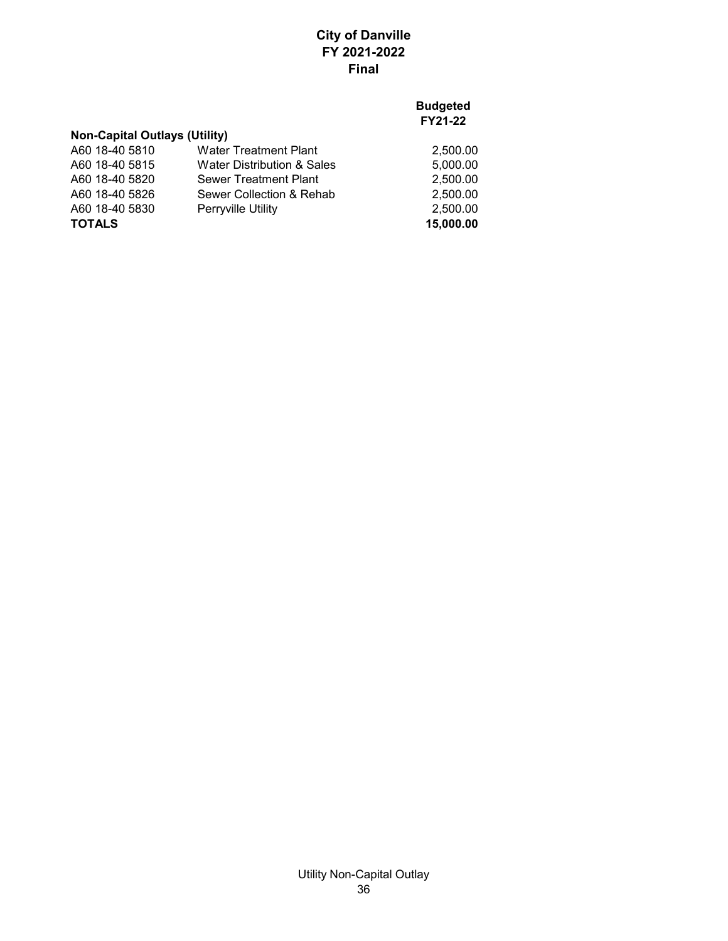### **Budgeted FY21-22**

# **Non-Capital Outlays (Utility)**

| <b>TOTALS</b>  |                              | 15,000.00 |
|----------------|------------------------------|-----------|
| A60 18-40 5830 | <b>Perryville Utility</b>    | 2.500.00  |
| A60 18-40 5826 | Sewer Collection & Rehab     | 2.500.00  |
| A60 18-40 5820 | Sewer Treatment Plant        | 2.500.00  |
| A60 18-40 5815 | Water Distribution & Sales   | 5.000.00  |
| A60 18-40 5810 | <b>Water Treatment Plant</b> | 2,500.00  |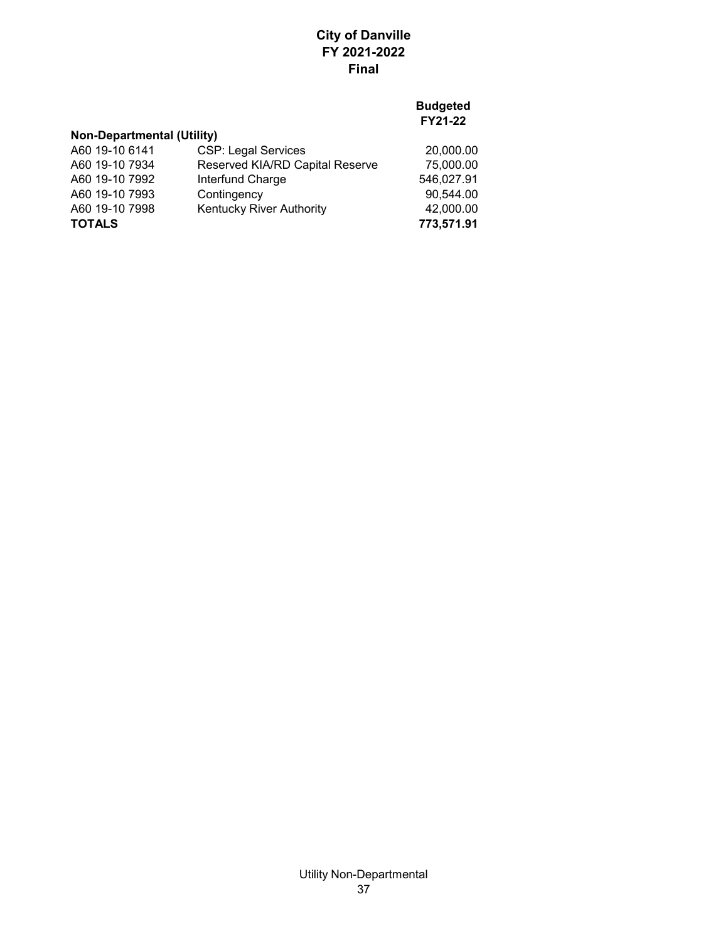## **Budgeted FY21-22**

## **Non-Departmental (Utility)**

| A60 19-10 6141 | <b>CSP: Legal Services</b>      | 20,000.00  |
|----------------|---------------------------------|------------|
| A60 19-10 7934 | Reserved KIA/RD Capital Reserve | 75,000.00  |
| A60 19-10 7992 | Interfund Charge                | 546,027.91 |
| A60 19-10 7993 | Contingency                     | 90,544.00  |
| A60 19-10 7998 | <b>Kentucky River Authority</b> | 42,000.00  |
| <b>TOTALS</b>  |                                 | 773,571.91 |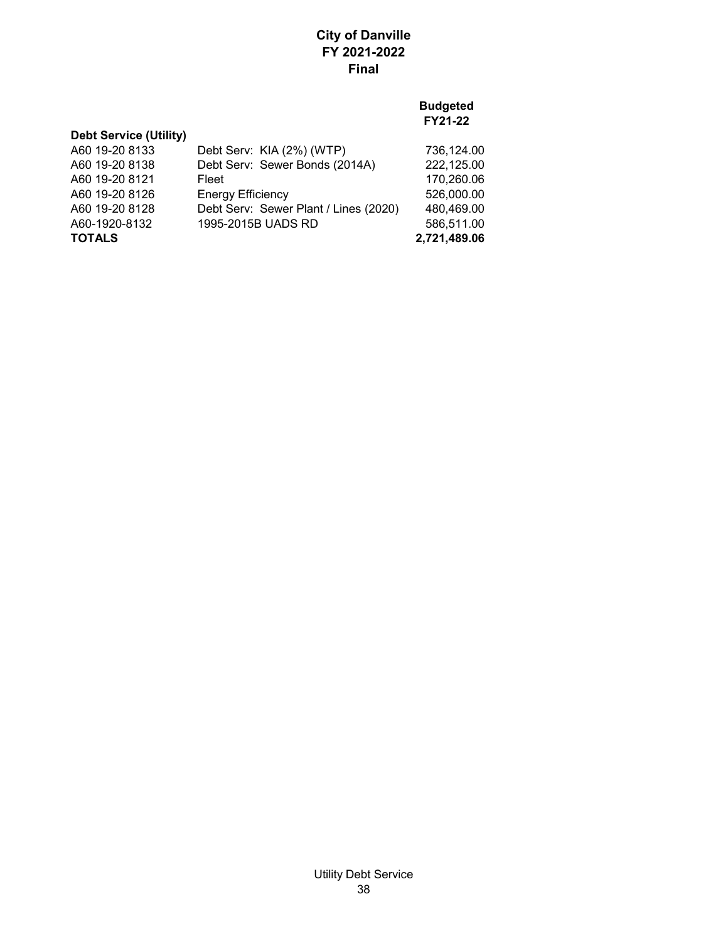| <b>Debt Service (Utility)</b> |                                       |              |
|-------------------------------|---------------------------------------|--------------|
| A60 19-20 8133                | Debt Serv: KIA (2%) (WTP)             | 736,124.00   |
| A60 19-20 8138                | Debt Serv: Sewer Bonds (2014A)        | 222,125.00   |
| A60 19-20 8121                | Fleet                                 | 170,260.06   |
| A60 19-20 8126                | <b>Energy Efficiency</b>              | 526,000.00   |
| A60 19-20 8128                | Debt Serv: Sewer Plant / Lines (2020) | 480,469.00   |
| A60-1920-8132                 | 1995-2015B UADS RD                    | 586,511.00   |
| <b>TOTALS</b>                 |                                       | 2,721,489.06 |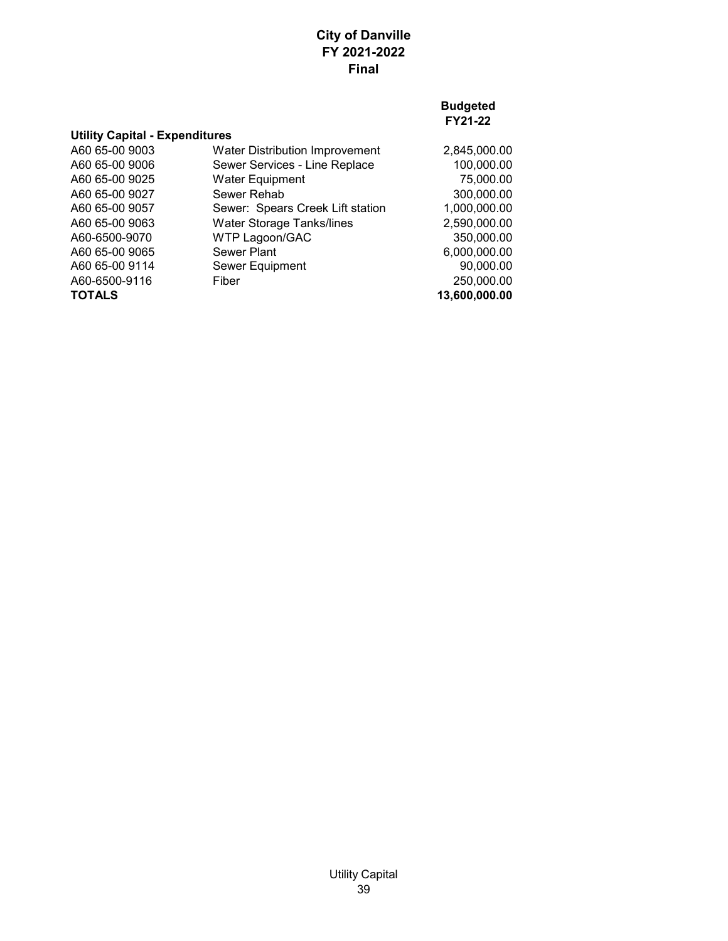| <b>Utility Capital - Expenditures</b> |                                       |               |
|---------------------------------------|---------------------------------------|---------------|
| A60 65-00 9003                        | <b>Water Distribution Improvement</b> | 2,845,000.00  |
| A60 65-00 9006                        | Sewer Services - Line Replace         | 100,000.00    |
| A60 65-00 9025                        | <b>Water Equipment</b>                | 75,000.00     |
| A60 65-00 9027                        | Sewer Rehab                           | 300,000.00    |
| A60 65-00 9057                        | Sewer: Spears Creek Lift station      | 1,000,000.00  |
| A60 65-00 9063                        | <b>Water Storage Tanks/lines</b>      | 2,590,000.00  |
| A60-6500-9070                         | <b>WTP Lagoon/GAC</b>                 | 350,000.00    |
| A60 65-00 9065                        | Sewer Plant                           | 6,000,000.00  |
| A60 65-00 9114                        | Sewer Equipment                       | 90,000.00     |
| A60-6500-9116                         | Fiber                                 | 250,000.00    |
| <b>TOTALS</b>                         |                                       | 13,600,000.00 |
|                                       |                                       |               |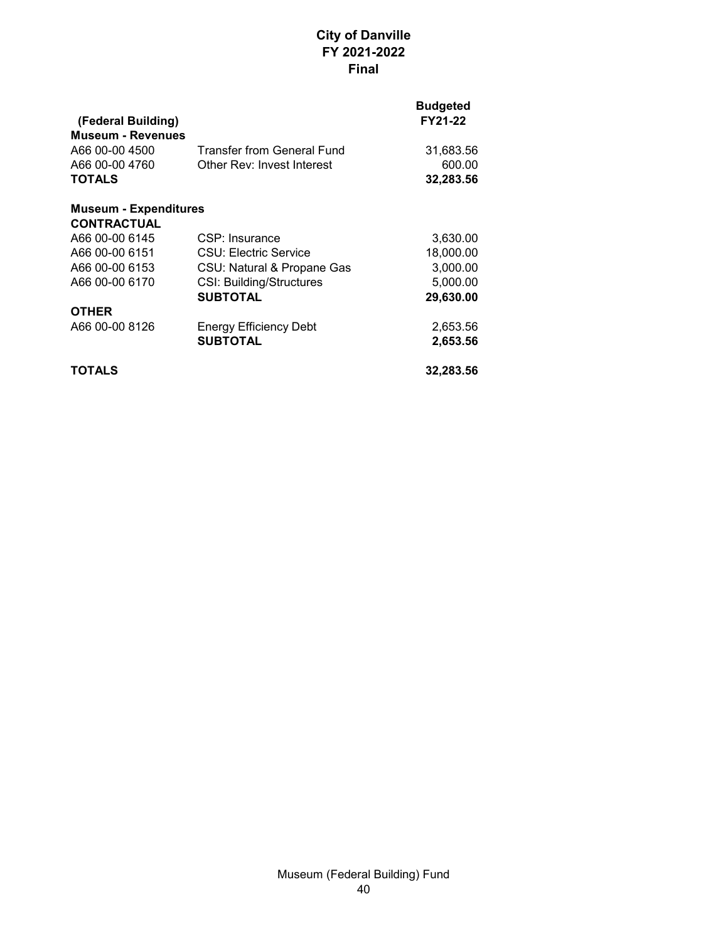| (Federal Building)<br><b>Museum - Revenues</b> |                                   | <b>Budgeted</b><br><b>FY21-22</b> |
|------------------------------------------------|-----------------------------------|-----------------------------------|
| A66 00-00 4500                                 | <b>Transfer from General Fund</b> | 31,683.56                         |
| A66 00-00 4760                                 | Other Rev: Invest Interest        | 600.00                            |
| <b>TOTALS</b>                                  |                                   | 32,283.56                         |
| <b>Museum - Expenditures</b>                   |                                   |                                   |
| <b>CONTRACTUAL</b>                             |                                   |                                   |
| A66 00-00 6145                                 | CSP: Insurance                    | 3,630.00                          |
| A66 00-00 6151                                 | CSU: Electric Service             | 18,000.00                         |
| A66 00-00 6153                                 | CSU: Natural & Propane Gas        | 3,000.00                          |
| A66 00-00 6170                                 | <b>CSI: Building/Structures</b>   | 5,000.00                          |
|                                                | <b>SUBTOTAL</b>                   | 29,630.00                         |
| <b>OTHER</b>                                   |                                   |                                   |
| A66 00-00 8126                                 | <b>Energy Efficiency Debt</b>     | 2,653.56                          |
|                                                | <b>SUBTOTAL</b>                   | 2,653.56                          |
| TOTALS                                         |                                   | 32,283.56                         |